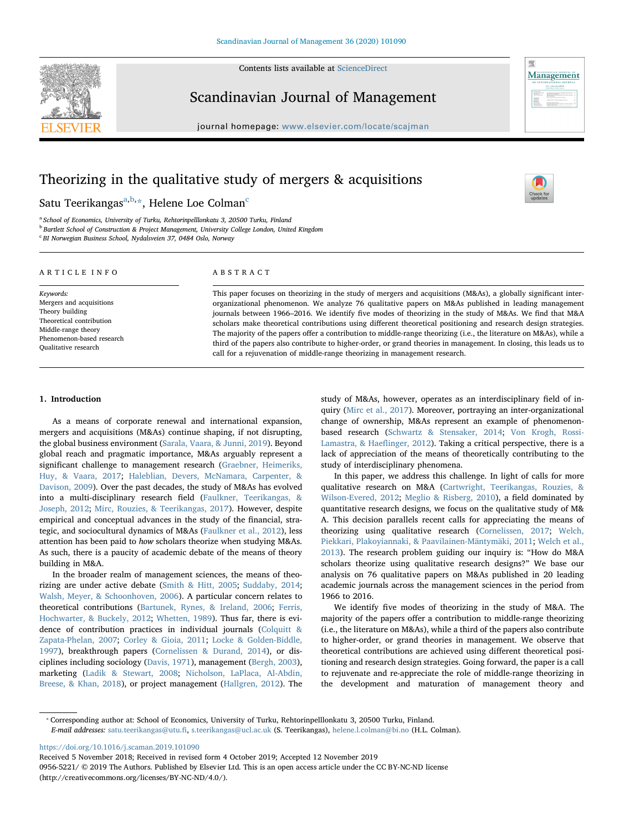

Contents lists available at [ScienceDirect](http://www.sciencedirect.com/science/journal/09565221)

Scandinavian Journal of Management



 $\frac{1}{\sqrt{2}}$ 

journal homepage: [www.elsevier.com/locate/scajman](https://www.elsevier.com/locate/scajman)

# Theorizing in the qualitative study of mergers & acquisitions

Satu Teerikangas<sup>[a,](#page-0-0)[b](#page-0-1),</sup>[\\*,](#page-0-2) Helene Loe Colman<sup>[c](#page-0-3)</sup>

<span id="page-0-0"></span><sup>a</sup> School of Economics, University of Turku, Rehtorinpelllonkatu 3, 20500 Turku, Finland

<span id="page-0-1"></span>**b Bartlett School of Construction & Project Management, University College London, United Kingdom** 

<span id="page-0-3"></span><sup>c</sup> BI Norwegian Business School, Nydalsveien 37, 0484 Oslo, Norway

## ARTICLE INFO

Keywords: Mergers and acquisitions Theory building Theoretical contribution Middle-range theory Phenomenon-based research Qualitative research

# ABSTRACT

This paper focuses on theorizing in the study of mergers and acquisitions (M&As), a globally significant interorganizational phenomenon. We analyze 76 qualitative papers on M&As published in leading management journals between 1966–2016. We identify five modes of theorizing in the study of M&As. We find that M&A scholars make theoretical contributions using different theoretical positioning and research design strategies. The majority of the papers offer a contribution to middle-range theorizing (i.e., the literature on M&As), while a third of the papers also contribute to higher-order, or grand theories in management. In closing, this leads us to call for a rejuvenation of middle-range theorizing in management research.

# 1. Introduction

As a means of corporate renewal and international expansion, mergers and acquisitions (M&As) continue shaping, if not disrupting, the global business environment [\(Sarala, Vaara, & Junni, 2019](#page-14-0)). Beyond global reach and pragmatic importance, M&As arguably represent a significant challenge to management research ([Graebner, Heimeriks,](#page-13-0) [Huy, & Vaara, 2017;](#page-13-0) [Haleblian, Devers, McNamara, Carpenter, &](#page-13-1) [Davison, 2009](#page-13-1)). Over the past decades, the study of M&As has evolved into a multi-disciplinary research field [\(Faulkner, Teerikangas, &](#page-13-2) [Joseph, 2012](#page-13-2); [Mirc, Rouzies, & Teerikangas, 2017](#page-14-1)). However, despite empirical and conceptual advances in the study of the financial, strategic, and sociocultural dynamics of M&As [\(Faulkner et al., 2012](#page-13-2)), less attention has been paid to how scholars theorize when studying M&As. As such, there is a paucity of academic debate of the means of theory building in M&A.

In the broader realm of management sciences, the means of theorizing are under active debate [\(Smith & Hitt, 2005](#page-14-2); [Suddaby, 2014](#page-15-0); [Walsh, Meyer, & Schoonhoven, 2006\)](#page-15-1). A particular concern relates to theoretical contributions [\(Bartunek, Rynes, & Ireland, 2006;](#page-12-0) [Ferris,](#page-13-3) [Hochwarter, & Buckely, 2012](#page-13-3); [Whetten, 1989](#page-15-2)). Thus far, there is evidence of contribution practices in individual journals ([Colquitt &](#page-13-4) [Zapata-Phelan, 2007](#page-13-4); [Corley & Gioia, 2011;](#page-13-5) [Locke & Golden-Biddle,](#page-14-3) [1997\)](#page-14-3), breakthrough papers [\(Cornelissen & Durand, 2014](#page-13-6)), or disciplines including sociology [\(Davis, 1971](#page-13-7)), management [\(Bergh, 2003](#page-13-8)), marketing ([Ladik & Stewart, 2008;](#page-14-4) [Nicholson, LaPlaca, Al-Abdin,](#page-14-5) [Breese, & Khan, 2018\)](#page-14-5), or project management ([Hallgren, 2012](#page-14-6)). The

study of M&As, however, operates as an interdisciplinary field of inquiry ([Mirc et al., 2017](#page-14-1)). Moreover, portraying an inter-organizational change of ownership, M&As represent an example of phenomenonbased research ([Schwartz & Stensaker, 2014;](#page-14-7) [Von Krogh, Rossi-](#page-15-3)[Lamastra, & Hae](#page-15-3)flinger, 2012). Taking a critical perspective, there is a lack of appreciation of the means of theoretically contributing to the study of interdisciplinary phenomena.

In this paper, we address this challenge. In light of calls for more qualitative research on M&A [\(Cartwright, Teerikangas, Rouzies, &](#page-13-9) [Wilson-Evered, 2012](#page-13-9); [Meglio & Risberg, 2010\)](#page-14-8), a field dominated by quantitative research designs, we focus on the qualitative study of M& A. This decision parallels recent calls for appreciating the means of theorizing using qualitative research ([Cornelissen, 2017;](#page-13-10) [Welch,](#page-15-4) [Piekkari, Plakoyiannaki, & Paavilainen-Mäntymäki, 2011;](#page-15-4) [Welch et al.,](#page-15-5) [2013\)](#page-15-5). The research problem guiding our inquiry is: "How do M&A scholars theorize using qualitative research designs?" We base our analysis on 76 qualitative papers on M&As published in 20 leading academic journals across the management sciences in the period from 1966 to 2016.

We identify five modes of theorizing in the study of M&A. The majority of the papers offer a contribution to middle-range theorizing (i.e., the literature on M&As), while a third of the papers also contribute to higher-order, or grand theories in management. We observe that theoretical contributions are achieved using different theoretical positioning and research design strategies. Going forward, the paper is a call to rejuvenate and re-appreciate the role of middle-range theorizing in the development and maturation of management theory and

<span id="page-0-2"></span>⁎ Corresponding author at: School of Economics, University of Turku, Rehtorinpelllonkatu 3, 20500 Turku, Finland. E-mail addresses: [satu.teerikangas@utu.](mailto:satu.teerikangas@utu.fi)fi, [s.teerikangas@ucl.ac.uk](mailto:s.teerikangas@ucl.ac.uk) (S. Teerikangas), [helene.l.colman@bi.no](mailto:helene.l.colman@bi.no) (H.L. Colman).

<https://doi.org/10.1016/j.scaman.2019.101090>

Received 5 November 2018; Received in revised form 4 October 2019; Accepted 12 November 2019

0956-5221/ © 2019 The Authors. Published by Elsevier Ltd. This is an open access article under the CC BY-NC-ND license (http://creativecommons.org/licenses/BY-NC-ND/4.0/).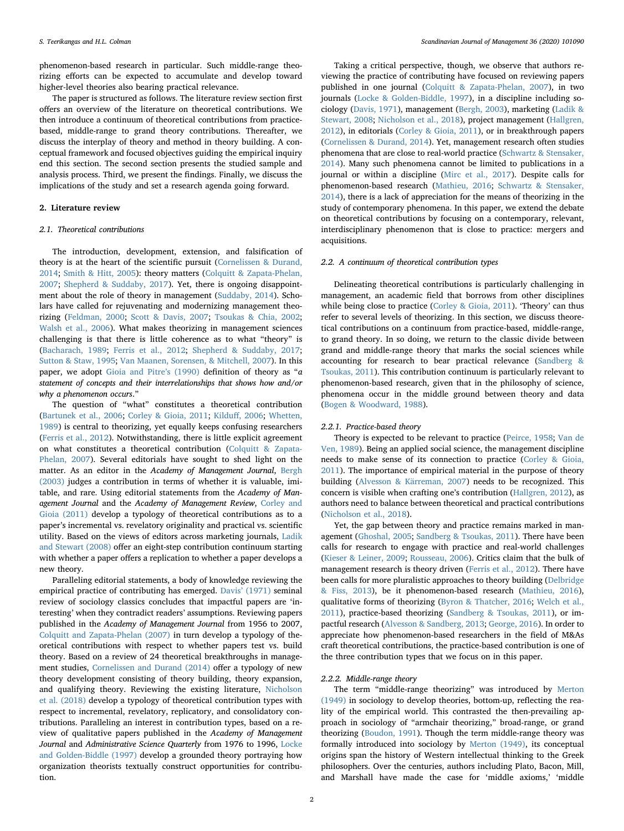phenomenon-based research in particular. Such middle-range theorizing efforts can be expected to accumulate and develop toward higher-level theories also bearing practical relevance.

The paper is structured as follows. The literature review section first offers an overview of the literature on theoretical contributions. We then introduce a continuum of theoretical contributions from practicebased, middle-range to grand theory contributions. Thereafter, we discuss the interplay of theory and method in theory building. A conceptual framework and focused objectives guiding the empirical inquiry end this section. The second section presents the studied sample and analysis process. Third, we present the findings. Finally, we discuss the implications of the study and set a research agenda going forward.

# 2. Literature review

## 2.1. Theoretical contributions

The introduction, development, extension, and falsification of theory is at the heart of the scientific pursuit ([Cornelissen & Durand,](#page-13-6) [2014;](#page-13-6) [Smith & Hitt, 2005\)](#page-14-2): theory matters [\(Colquitt & Zapata-Phelan,](#page-13-4) [2007;](#page-13-4) [Shepherd & Suddaby, 2017\)](#page-14-9). Yet, there is ongoing disappointment about the role of theory in management ([Suddaby, 2014](#page-15-0)). Scholars have called for rejuvenating and modernizing management theorizing ([Feldman, 2000](#page-13-11); [Scott & Davis, 2007](#page-14-10); [Tsoukas & Chia, 2002](#page-15-6); [Walsh et al., 2006](#page-15-1)). What makes theorizing in management sciences challenging is that there is little coherence as to what "theory" is ([Bacharach, 1989;](#page-12-1) [Ferris et al., 2012](#page-13-3); [Shepherd & Suddaby, 2017](#page-14-9); [Sutton & Staw, 1995](#page-15-7); [Van Maanen, Sorensen, & Mitchell, 2007\)](#page-15-8). In this paper, we adopt [Gioia and Pitre](#page-13-12)'s (1990) definition of theory as "a statement of concepts and their interrelationships that shows how and/or why a phenomenon occurs."

The question of "what" constitutes a theoretical contribution ([Bartunek et al., 2006](#page-12-0); [Corley & Gioia, 2011;](#page-13-5) Kilduff[, 2006](#page-14-11); [Whetten,](#page-15-2) [1989\)](#page-15-2) is central to theorizing, yet equally keeps confusing researchers ([Ferris et al., 2012\)](#page-13-3). Notwithstanding, there is little explicit agreement on what constitutes a theoretical contribution ([Colquitt & Zapata-](#page-13-4)[Phelan, 2007](#page-13-4)). Several editorials have sought to shed light on the matter. As an editor in the Academy of Management Journal, [Bergh](#page-13-8) [\(2003\)](#page-13-8) judges a contribution in terms of whether it is valuable, imitable, and rare. Using editorial statements from the Academy of Management Journal and the Academy of Management Review, [Corley and](#page-13-5) [Gioia \(2011\)](#page-13-5) develop a typology of theoretical contributions as to a paper's incremental vs. revelatory originality and practical vs. scientific utility. Based on the views of editors across marketing journals, [Ladik](#page-14-4) [and Stewart \(2008\)](#page-14-4) offer an eight-step contribution continuum starting with whether a paper offers a replication to whether a paper develops a new theory.

Paralleling editorial statements, a body of knowledge reviewing the empirical practice of contributing has emerged. Davis' [\(1971\)](#page-13-7) seminal review of sociology classics concludes that impactful papers are 'interesting' when they contradict readers' assumptions. Reviewing papers published in the Academy of Management Journal from 1956 to 2007, [Colquitt and Zapata-Phelan \(2007\)](#page-13-4) in turn develop a typology of theoretical contributions with respect to whether papers test vs. build theory. Based on a review of 24 theoretical breakthroughs in management studies, [Cornelissen and Durand \(2014\)](#page-13-6) offer a typology of new theory development consisting of theory building, theory expansion, and qualifying theory. Reviewing the existing literature, [Nicholson](#page-14-5) [et al. \(2018\)](#page-14-5) develop a typology of theoretical contribution types with respect to incremental, revelatory, replicatory, and consolidatory contributions. Paralleling an interest in contribution types, based on a review of qualitative papers published in the Academy of Management Journal and Administrative Science Quarterly from 1976 to 1996, [Locke](#page-14-3) [and Golden-Biddle \(1997\)](#page-14-3) develop a grounded theory portraying how organization theorists textually construct opportunities for contribution.

Taking a critical perspective, though, we observe that authors reviewing the practice of contributing have focused on reviewing papers published in one journal [\(Colquitt & Zapata-Phelan, 2007\)](#page-13-4), in two journals [\(Locke & Golden-Biddle, 1997\)](#page-14-3), in a discipline including sociology ([Davis, 1971\)](#page-13-7), management [\(Bergh, 2003](#page-13-8)), marketing [\(Ladik &](#page-14-4) [Stewart, 2008](#page-14-4); [Nicholson et al., 2018](#page-14-5)), project management ([Hallgren,](#page-14-6) [2012\)](#page-14-6), in editorials ([Corley & Gioia, 2011](#page-13-5)), or in breakthrough papers ([Cornelissen & Durand, 2014](#page-13-6)). Yet, management research often studies phenomena that are close to real-world practice (Schwartz [& Stensaker,](#page-14-7) [2014\)](#page-14-7). Many such phenomena cannot be limited to publications in a journal or within a discipline ([Mirc et al., 2017](#page-14-1)). Despite calls for phenomenon-based research ([Mathieu, 2016](#page-14-12); [Schwartz & Stensaker,](#page-14-7) [2014\)](#page-14-7), there is a lack of appreciation for the means of theorizing in the study of contemporary phenomena. In this paper, we extend the debate on theoretical contributions by focusing on a contemporary, relevant, interdisciplinary phenomenon that is close to practice: mergers and acquisitions.

#### 2.2. A continuum of theoretical contribution types

Delineating theoretical contributions is particularly challenging in management, an academic field that borrows from other disciplines while being close to practice ([Corley & Gioia, 2011\)](#page-13-5). 'Theory' can thus refer to several levels of theorizing. In this section, we discuss theoretical contributions on a continuum from practice-based, middle-range, to grand theory. In so doing, we return to the classic divide between grand and middle-range theory that marks the social sciences while accounting for research to bear practical relevance ([Sandberg &](#page-14-13) [Tsoukas, 2011](#page-14-13)). This contribution continuum is particularly relevant to phenomenon-based research, given that in the philosophy of science, phenomena occur in the middle ground between theory and data ([Bogen & Woodward, 1988\)](#page-13-13).

# 2.2.1. Practice-based theory

Theory is expected to be relevant to practice ([Peirce, 1958;](#page-14-14) [Van de](#page-15-9) [Ven, 1989\)](#page-15-9). Being an applied social science, the management discipline needs to make sense of its connection to practice [\(Corley & Gioia,](#page-13-5) [2011\)](#page-13-5). The importance of empirical material in the purpose of theory building ([Alvesson & Kärreman, 2007](#page-12-2)) needs to be recognized. This concern is visible when crafting one's contribution [\(Hallgren, 2012\)](#page-14-6), as authors need to balance between theoretical and practical contributions ([Nicholson et al., 2018](#page-14-5)).

Yet, the gap between theory and practice remains marked in management ([Ghoshal, 2005](#page-13-14); [Sandberg & Tsoukas, 2011\)](#page-14-13). There have been calls for research to engage with practice and real-world challenges ([Kieser & Leiner, 2009;](#page-14-15) [Rousseau, 2006](#page-14-16)). Critics claim that the bulk of management research is theory driven ([Ferris et al., 2012\)](#page-13-3). There have been calls for more pluralistic approaches to theory building [\(Delbridge](#page-13-15) [& Fiss, 2013\)](#page-13-15), be it phenomenon-based research [\(Mathieu, 2016](#page-14-12)), qualitative forms of theorizing [\(Byron & Thatcher, 2016;](#page-13-16) [Welch et al.,](#page-15-4) [2011\)](#page-15-4), practice-based theorizing [\(Sandberg & Tsoukas, 2011\)](#page-14-13), or impactful research [\(Alvesson & Sandberg, 2013;](#page-12-3) [George, 2016\)](#page-13-17). In order to appreciate how phenomenon-based researchers in the field of M&As craft theoretical contributions, the practice-based contribution is one of the three contribution types that we focus on in this paper.

## 2.2.2. Middle-range theory

The term "middle-range theorizing" was introduced by [Merton](#page-14-17) [\(1949\)](#page-14-17) in sociology to develop theories, bottom-up, reflecting the reality of the empirical world. This contrasted the then-prevailing approach in sociology of "armchair theorizing," broad-range, or grand theorizing [\(Boudon, 1991](#page-13-18)). Though the term middle-range theory was formally introduced into sociology by [Merton \(1949\),](#page-14-17) its conceptual origins span the history of Western intellectual thinking to the Greek philosophers. Over the centuries, authors including Plato, Bacon, Mill, and Marshall have made the case for 'middle axioms,' 'middle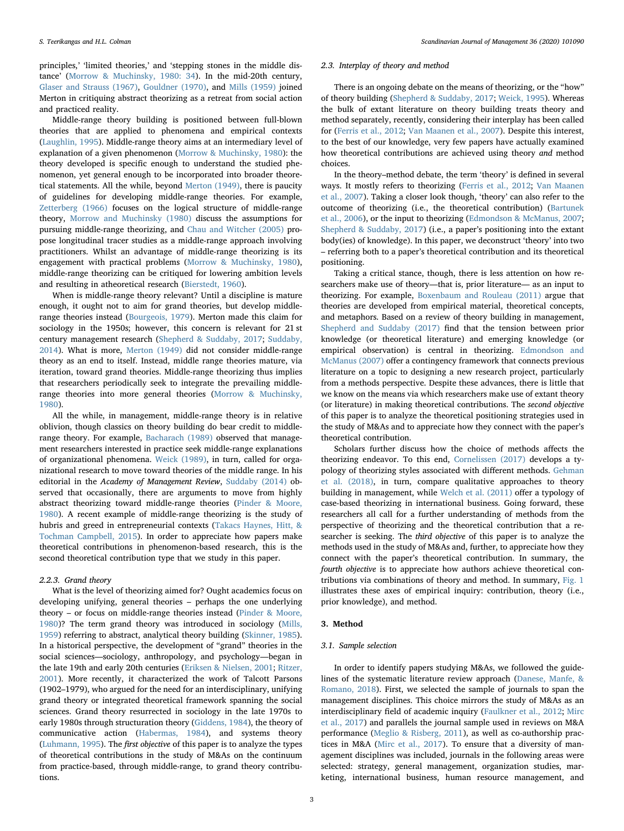principles,' 'limited theories,' and 'stepping stones in the middle distance' ([Morrow & Muchinsky, 1980: 34](#page-14-18)). In the mid-20th century, [Glaser and Strauss \(1967\),](#page-13-19) [Gouldner \(1970\)](#page-13-20), and [Mills \(1959\)](#page-14-19) joined Merton in critiquing abstract theorizing as a retreat from social action and practiced reality.

Middle-range theory building is positioned between full-blown theories that are applied to phenomena and empirical contexts ([Laughlin, 1995\)](#page-14-20). Middle-range theory aims at an intermediary level of explanation of a given phenomenon [\(Morrow & Muchinsky, 1980\)](#page-14-18): the theory developed is specific enough to understand the studied phenomenon, yet general enough to be incorporated into broader theoretical statements. All the while, beyond [Merton \(1949\),](#page-14-17) there is paucity of guidelines for developing middle-range theories. For example, [Zetterberg \(1966\)](#page-15-10) focuses on the logical structure of middle-range theory, [Morrow and Muchinsky \(1980\)](#page-14-18) discuss the assumptions for pursuing middle-range theorizing, and [Chau and Witcher \(2005\)](#page-13-21) propose longitudinal tracer studies as a middle-range approach involving practitioners. Whilst an advantage of middle-range theorizing is its engagement with practical problems ([Morrow & Muchinsky, 1980](#page-14-18)), middle-range theorizing can be critiqued for lowering ambition levels and resulting in atheoretical research [\(Bierstedt, 1960](#page-13-22)).

When is middle-range theory relevant? Until a discipline is mature enough, it ought not to aim for grand theories, but develop middlerange theories instead [\(Bourgeois, 1979](#page-13-23)). Merton made this claim for sociology in the 1950s; however, this concern is relevant for 21 st century management research ([Shepherd & Suddaby, 2017;](#page-14-9) [Suddaby,](#page-15-0) [2014\)](#page-15-0). What is more, [Merton \(1949\)](#page-14-17) did not consider middle-range theory as an end to itself. Instead, middle range theories mature, via iteration, toward grand theories. Middle-range theorizing thus implies that researchers periodically seek to integrate the prevailing middlerange theories into more general theories [\(Morrow & Muchinsky,](#page-14-18) [1980\)](#page-14-18).

All the while, in management, middle-range theory is in relative oblivion, though classics on theory building do bear credit to middlerange theory. For example, [Bacharach \(1989\)](#page-12-1) observed that management researchers interested in practice seek middle-range explanations of organizational phenomena. [Weick \(1989\)](#page-15-11), in turn, called for organizational research to move toward theories of the middle range. In his editorial in the Academy of Management Review, [Suddaby \(2014\)](#page-15-0) observed that occasionally, there are arguments to move from highly abstract theorizing toward middle-range theories [\(Pinder & Moore,](#page-14-21) [1980\)](#page-14-21). A recent example of middle-range theorizing is the study of hubris and greed in entrepreneurial contexts [\(Takacs Haynes, Hitt, &](#page-15-12) [Tochman Campbell, 2015](#page-15-12)). In order to appreciate how papers make theoretical contributions in phenomenon-based research, this is the second theoretical contribution type that we study in this paper.

#### 2.2.3. Grand theory

What is the level of theorizing aimed for? Ought academics focus on developing unifying, general theories – perhaps the one underlying theory – or focus on middle-range theories instead ([Pinder & Moore,](#page-14-21) [1980\)](#page-14-21)? The term grand theory was introduced in sociology [\(Mills,](#page-14-19) [1959\)](#page-14-19) referring to abstract, analytical theory building ([Skinner, 1985](#page-14-22)). In a historical perspective, the development of "grand" theories in the social sciences—sociology, anthropology, and psychology—began in the late 19th and early 20th centuries [\(Eriksen & Nielsen, 2001;](#page-13-24) [Ritzer,](#page-14-23) [2001\)](#page-14-23). More recently, it characterized the work of Talcott Parsons (1902–1979), who argued for the need for an interdisciplinary, unifying grand theory or integrated theoretical framework spanning the social sciences. Grand theory resurrected in sociology in the late 1970s to early 1980s through structuration theory ([Giddens, 1984\)](#page-13-25), the theory of communicative action ([Habermas, 1984](#page-13-26)), and systems theory ([Luhmann, 1995](#page-14-24)). The first objective of this paper is to analyze the types of theoretical contributions in the study of M&As on the continuum from practice-based, through middle-range, to grand theory contributions.

#### 2.3. Interplay of theory and method

There is an ongoing debate on the means of theorizing, or the "how" of theory building [\(Shepherd & Suddaby, 2017](#page-14-9); [Weick, 1995](#page-15-13)). Whereas the bulk of extant literature on theory building treats theory and method separately, recently, considering their interplay has been called for [\(Ferris et al., 2012](#page-13-3); [Van Maanen et al., 2007](#page-15-8)). Despite this interest, to the best of our knowledge, very few papers have actually examined how theoretical contributions are achieved using theory and method choices.

In the theory–method debate, the term 'theory' is defined in several ways. It mostly refers to theorizing [\(Ferris et al., 2012;](#page-13-3) [Van Maanen](#page-15-8) [et al., 2007\)](#page-15-8). Taking a closer look though, 'theory' can also refer to the outcome of theorizing (i.e., the theoretical contribution) ([Bartunek](#page-12-0) [et al., 2006](#page-12-0)), or the input to theorizing ([Edmondson & McManus, 2007](#page-13-27); [Shepherd & Suddaby, 2017\)](#page-14-9) (i.e., a paper's positioning into the extant body(ies) of knowledge). In this paper, we deconstruct 'theory' into two – referring both to a paper's theoretical contribution and its theoretical positioning.

Taking a critical stance, though, there is less attention on how researchers make use of theory—that is, prior literature— as an input to theorizing. For example, [Boxenbaum and Rouleau \(2011\)](#page-13-28) argue that theories are developed from empirical material, theoretical concepts, and metaphors. Based on a review of theory building in management, [Shepherd and Suddaby \(2017\)](#page-14-9) find that the tension between prior knowledge (or theoretical literature) and emerging knowledge (or empirical observation) is central in theorizing. [Edmondson and](#page-13-27) [McManus \(2007\)](#page-13-27) offer a contingency framework that connects previous literature on a topic to designing a new research project, particularly from a methods perspective. Despite these advances, there is little that we know on the means via which researchers make use of extant theory (or literature) in making theoretical contributions. The second objective of this paper is to analyze the theoretical positioning strategies used in the study of M&As and to appreciate how they connect with the paper's theoretical contribution.

Scholars further discuss how the choice of methods affects the theorizing endeavor. To this end, [Cornelissen \(2017\)](#page-13-10) develops a typology of theorizing styles associated with different methods. [Gehman](#page-13-29) [et al. \(2018\)](#page-13-29), in turn, compare qualitative approaches to theory building in management, while [Welch et al. \(2011\)](#page-15-4) offer a typology of case-based theorizing in international business. Going forward, these researchers all call for a further understanding of methods from the perspective of theorizing and the theoretical contribution that a researcher is seeking. The third objective of this paper is to analyze the methods used in the study of M&As and, further, to appreciate how they connect with the paper's theoretical contribution. In summary, the fourth objective is to appreciate how authors achieve theoretical contributions via combinations of theory and method. In summary, [Fig. 1](#page-3-0) illustrates these axes of empirical inquiry: contribution, theory (i.e., prior knowledge), and method.

## 3. Method

## 3.1. Sample selection

In order to identify papers studying M&As, we followed the guidelines of the systematic literature review approach ([Danese, Manfe, &](#page-13-30) [Romano, 2018](#page-13-30)). First, we selected the sample of journals to span the management disciplines. This choice mirrors the study of M&As as an interdisciplinary field of academic inquiry [\(Faulkner et al., 2012;](#page-13-2) [Mirc](#page-14-1) [et al., 2017](#page-14-1)) and parallels the journal sample used in reviews on M&A performance ([Meglio & Risberg, 2011](#page-14-25)), as well as co-authorship practices in M&A ([Mirc et al., 2017\)](#page-14-1). To ensure that a diversity of management disciplines was included, journals in the following areas were selected: strategy, general management, organization studies, marketing, international business, human resource management, and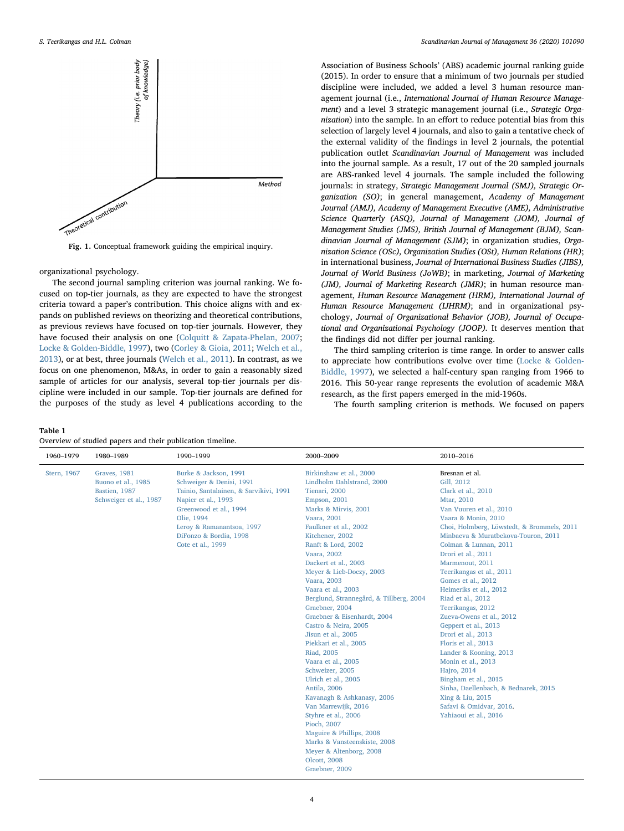<span id="page-3-0"></span>

Fig. 1. Conceptual framework guiding the empirical inquiry.

organizational psychology.

The second journal sampling criterion was journal ranking. We focused on top-tier journals, as they are expected to have the strongest criteria toward a paper's contribution. This choice aligns with and expands on published reviews on theorizing and theoretical contributions, as previous reviews have focused on top-tier journals. However, they have focused their analysis on one [\(Colquitt & Zapata-Phelan, 2007](#page-13-4); [Locke & Golden-Biddle, 1997\)](#page-14-3), two [\(Corley & Gioia, 2011](#page-13-5); [Welch et al.,](#page-15-5) [2013\)](#page-15-5), or at best, three journals ([Welch et al., 2011](#page-15-4)). In contrast, as we focus on one phenomenon, M&As, in order to gain a reasonably sized sample of articles for our analysis, several top-tier journals per discipline were included in our sample. Top-tier journals are defined for the purposes of the study as level 4 publications according to the

#### <span id="page-3-1"></span>Table 1

| Overview of studied papers and their publication timeline. |  |  |  |  |
|------------------------------------------------------------|--|--|--|--|
|------------------------------------------------------------|--|--|--|--|

Association of Business Schools' (ABS) academic journal ranking guide (2015). In order to ensure that a minimum of two journals per studied discipline were included, we added a level 3 human resource management journal (i.e., International Journal of Human Resource Management) and a level 3 strategic management journal (i.e., Strategic Organization) into the sample. In an effort to reduce potential bias from this selection of largely level 4 journals, and also to gain a tentative check of the external validity of the findings in level 2 journals, the potential publication outlet Scandinavian Journal of Management was included into the journal sample. As a result, 17 out of the 20 sampled journals are ABS-ranked level 4 journals. The sample included the following journals: in strategy, Strategic Management Journal (SMJ), Strategic Organization (SO); in general management, Academy of Management Journal (AMJ), Academy of Management Executive (AME), Administrative Science Quarterly (ASQ), Journal of Management (JOM), Journal of Management Studies (JMS), British Journal of Management (BJM), Scandinavian Journal of Management (SJM); in organization studies, Organization Science (OSc), Organization Studies (OSt), Human Relations (HR); in international business, Journal of International Business Studies (JIBS), Journal of World Business (JoWB); in marketing, Journal of Marketing (JM), Journal of Marketing Research (JMR); in human resource management, Human Resource Management (HRM), International Journal of Human Resource Management (IJHRM); and in organizational psychology, Journal of Organizational Behavior (JOB), Journal of Occupational and Organizational Psychology (JOOP). It deserves mention that the findings did not differ per journal ranking.

The third sampling criterion is time range. In order to answer calls to appreciate how contributions evolve over time [\(Locke & Golden-](#page-14-3)[Biddle, 1997\)](#page-14-3), we selected a half-century span ranging from 1966 to 2016. This 50-year range represents the evolution of academic M&A research, as the first papers emerged in the mid-1960s.

The fourth sampling criterion is methods. We focused on papers

| 1960-1979   | 1980-1989              | 1990-1999                              | 2000-2009                               | 2010-2016                                  |
|-------------|------------------------|----------------------------------------|-----------------------------------------|--------------------------------------------|
| Stern, 1967 | <b>Graves</b> , 1981   | Burke & Jackson, 1991                  | Birkinshaw et al., 2000                 | Bresnan et al.                             |
|             | Buono et al., 1985     | Schweiger & Denisi, 1991               | Lindholm Dahlstrand, 2000               | Gill, 2012                                 |
|             | Bastien, 1987          | Tainio, Santalainen, & Sarvikivi, 1991 | Tienari, 2000                           | Clark et al., 2010                         |
|             | Schweiger et al., 1987 | Napier et al., 1993                    | Empson, 2001                            | Mtar, 2010                                 |
|             |                        | Greenwood et al., 1994                 | Marks & Mirvis, 2001                    | Van Vuuren et al., 2010                    |
|             |                        | Olie, 1994                             | Vaara, 2001                             | Vaara & Monin, 2010                        |
|             |                        | Leroy & Ramanantsoa, 1997              | Faulkner et al., 2002                   | Choi, Holmberg, Löwstedt, & Brommels, 2011 |
|             |                        | DiFonzo & Bordia, 1998                 | Kitchener, 2002                         | Minbaeva & Muratbekova-Touron, 2011        |
|             |                        | Cote et al., 1999                      | Ranft & Lord, 2002                      | Colman & Lunnan, 2011                      |
|             |                        |                                        | Vaara, 2002                             | Drori et al., 2011                         |
|             |                        |                                        | Dackert et al., 2003                    | Marmenout, 2011                            |
|             |                        |                                        | Meyer & Lieb-Doczy, 2003                | Teerikangas et al., 2011                   |
|             |                        |                                        | Vaara, 2003                             | Gomes et al., 2012                         |
|             |                        |                                        | Vaara et al., 2003                      | Heimeriks et al., 2012                     |
|             |                        |                                        | Berglund, Strannegård, & Tillberg, 2004 | Riad et al., 2012                          |
|             |                        |                                        | Graebner, 2004                          | Teerikangas, 2012                          |
|             |                        |                                        | Graebner & Eisenhardt, 2004             | Zueva-Owens et al., 2012                   |
|             |                        |                                        | Castro & Neira, 2005                    | Geppert et al., 2013                       |
|             |                        |                                        | Jisun et al., 2005                      | Drori et al., 2013                         |
|             |                        |                                        | Piekkari et al., 2005                   | Floris et al., 2013                        |
|             |                        |                                        | Riad, 2005                              | Lander & Kooning, 2013                     |
|             |                        |                                        | Vaara et al., 2005                      | Monin et al., 2013                         |
|             |                        |                                        | Schweizer, 2005                         | Hajro, 2014                                |
|             |                        |                                        | Ulrich et al., 2005                     | Bingham et al., 2015                       |
|             |                        |                                        | Antila, 2006                            | Sinha, Daellenbach, & Bednarek, 2015       |
|             |                        |                                        | Kavanagh & Ashkanasy, 2006              | Xing & Liu, 2015                           |
|             |                        |                                        | Van Marrewijk, 2016                     | Safavi & Omidvar, 2016.                    |
|             |                        |                                        | Styhre et al., 2006                     | Yahiaoui et al., 2016                      |
|             |                        |                                        | Pioch, 2007                             |                                            |
|             |                        |                                        | Maguire & Phillips, 2008                |                                            |
|             |                        |                                        | Marks & Vansteenskiste, 2008            |                                            |
|             |                        |                                        | Meyer & Altenborg, 2008                 |                                            |
|             |                        |                                        | Olcott, 2008                            |                                            |
|             |                        |                                        | Graebner, 2009                          |                                            |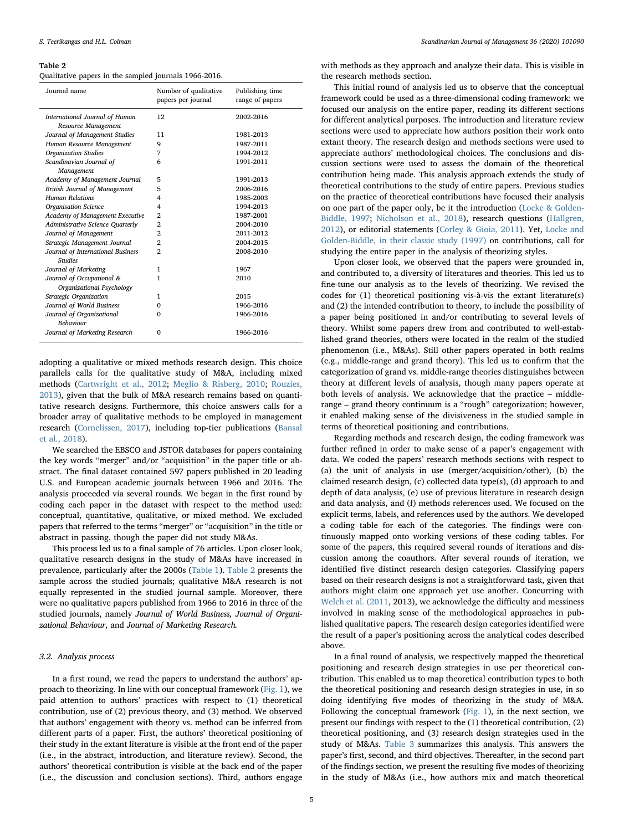#### <span id="page-4-0"></span>Table 2

Qualitative papers in the sampled journals 1966-2016.

| Journal name                                           | Number of qualitative<br>papers per journal | Publishing time<br>range of papers |
|--------------------------------------------------------|---------------------------------------------|------------------------------------|
| International Journal of Human<br>Resource Management  | 12                                          | 2002-2016                          |
| Journal of Management Studies                          | 11                                          | 1981-2013                          |
| Human Resource Management                              | 9                                           | 1987-2011                          |
| <b>Organization Studies</b>                            | 7                                           | 1994-2012                          |
| Scandinavian Journal of<br>Management                  | 6                                           | 1991-2011                          |
| Academy of Management Journal                          | 5                                           | 1991-2013                          |
| <b>British Journal of Management</b>                   | 5                                           | 2006-2016                          |
| <b>Human Relations</b>                                 | 4                                           | 1985-2003                          |
| Organisation Science                                   | 4                                           | 1994-2013                          |
| Academy of Management Executive                        | $\overline{2}$                              | 1987-2001                          |
| Administrative Science Quarterly                       | $\overline{2}$                              | 2004-2010                          |
| Journal of Management                                  | 2                                           | 2011-2012                          |
| Strategic Management Journal                           | $\overline{2}$                              | 2004-2015                          |
| Journal of International Business<br><b>Studies</b>    | $\overline{2}$                              | 2008-2010                          |
| Journal of Marketing                                   | 1                                           | 1967                               |
| Journal of Occupational &<br>Organizational Psychology | 1                                           | 2010                               |
| Strategic Organization                                 | 1                                           | 2015                               |
| Journal of World Business                              | $\Omega$                                    | 1966-2016                          |
| Journal of Organizational<br><b>Behaviour</b>          | $\Omega$                                    | 1966-2016                          |
| Journal of Marketing Research                          | $\Omega$                                    | 1966-2016                          |

adopting a qualitative or mixed methods research design. This choice parallels calls for the qualitative study of M&A, including mixed methods [\(Cartwright et al., 2012](#page-13-9); [Meglio & Risberg, 2010](#page-14-8); [Rouzies,](#page-14-55) [2013\)](#page-14-55), given that the bulk of M&A research remains based on quantitative research designs. Furthermore, this choice answers calls for a broader array of qualitative methods to be employed in management research [\(Cornelissen, 2017\)](#page-13-10), including top-tier publications ([Bansal](#page-12-6) [et al., 2018](#page-12-6)).

We searched the EBSCO and JSTOR databases for papers containing the key words "merger" and/or "acquisition" in the paper title or abstract. The final dataset contained 597 papers published in 20 leading U.S. and European academic journals between 1966 and 2016. The analysis proceeded via several rounds. We began in the first round by coding each paper in the dataset with respect to the method used: conceptual, quantitative, qualitative, or mixed method. We excluded papers that referred to the terms "merger" or "acquisition" in the title or abstract in passing, though the paper did not study M&As.

This process led us to a final sample of 76 articles. Upon closer look, qualitative research designs in the study of M&As have increased in prevalence, particularly after the 2000s [\(Table 1](#page-3-1)). [Table 2](#page-4-0) presents the sample across the studied journals; qualitative M&A research is not equally represented in the studied journal sample. Moreover, there were no qualitative papers published from 1966 to 2016 in three of the studied journals, namely Journal of World Business, Journal of Organizational Behaviour, and Journal of Marketing Research.

## 3.2. Analysis process

In a first round, we read the papers to understand the authors' approach to theorizing. In line with our conceptual framework ([Fig. 1](#page-3-0)), we paid attention to authors' practices with respect to (1) theoretical contribution, use of (2) previous theory, and (3) method. We observed that authors' engagement with theory vs. method can be inferred from different parts of a paper. First, the authors' theoretical positioning of their study in the extant literature is visible at the front end of the paper (i.e., in the abstract, introduction, and literature review). Second, the authors' theoretical contribution is visible at the back end of the paper (i.e., the discussion and conclusion sections). Third, authors engage

with methods as they approach and analyze their data. This is visible in the research methods section.

This initial round of analysis led us to observe that the conceptual framework could be used as a three-dimensional coding framework: we focused our analysis on the entire paper, reading its different sections for different analytical purposes. The introduction and literature review sections were used to appreciate how authors position their work onto extant theory. The research design and methods sections were used to appreciate authors' methodological choices. The conclusions and discussion sections were used to assess the domain of the theoretical contribution being made. This analysis approach extends the study of theoretical contributions to the study of entire papers. Previous studies on the practice of theoretical contributions have focused their analysis on one part of the paper only, be it the introduction ([Locke & Golden-](#page-14-3)[Biddle, 1997](#page-14-3); [Nicholson et al., 2018](#page-14-5)), research questions ([Hallgren,](#page-14-6) [2012\)](#page-14-6), or editorial statements ([Corley & Gioia, 2011](#page-13-5)). Yet, [Locke and](#page-14-3) [Golden-Biddle, in their classic study \(1997\)](#page-14-3) on contributions, call for studying the entire paper in the analysis of theorizing styles.

Upon closer look, we observed that the papers were grounded in, and contributed to, a diversity of literatures and theories. This led us to fine-tune our analysis as to the levels of theorizing. We revised the codes for (1) theoretical positioning vis-à-vis the extant literature(s) and (2) the intended contribution to theory, to include the possibility of a paper being positioned in and/or contributing to several levels of theory. Whilst some papers drew from and contributed to well-established grand theories, others were located in the realm of the studied phenomenon (i.e., M&As). Still other papers operated in both realms (e.g., middle-range and grand theory). This led us to confirm that the categorization of grand vs. middle-range theories distinguishes between theory at different levels of analysis, though many papers operate at both levels of analysis. We acknowledge that the practice – middlerange – grand theory continuum is a "rough" categorization; however, it enabled making sense of the divisiveness in the studied sample in terms of theoretical positioning and contributions.

Regarding methods and research design, the coding framework was further refined in order to make sense of a paper's engagement with data. We coded the papers' research methods sections with respect to (a) the unit of analysis in use (merger/acquisition/other), (b) the claimed research design, (c) collected data type(s), (d) approach to and depth of data analysis, (e) use of previous literature in research design and data analysis, and (f) methods references used. We focused on the explicit terms, labels, and references used by the authors. We developed a coding table for each of the categories. The findings were continuously mapped onto working versions of these coding tables. For some of the papers, this required several rounds of iterations and discussion among the coauthors. After several rounds of iteration, we identified five distinct research design categories. Classifying papers based on their research designs is not a straightforward task, given that authors might claim one approach yet use another. Concurring with [Welch et al. \(2011](#page-15-4), 2013), we acknowledge the difficulty and messiness involved in making sense of the methodological approaches in published qualitative papers. The research design categories identified were the result of a paper's positioning across the analytical codes described above.

In a final round of analysis, we respectively mapped the theoretical positioning and research design strategies in use per theoretical contribution. This enabled us to map theoretical contribution types to both the theoretical positioning and research design strategies in use, in so doing identifying five modes of theorizing in the study of M&A. Following the conceptual framework [\(Fig. 1](#page-3-0)), in the next section, we present our findings with respect to the (1) theoretical contribution, (2) theoretical positioning, and (3) research design strategies used in the study of M&As. [Table 3](#page-5-0) summarizes this analysis. This answers the paper's first, second, and third objectives. Thereafter, in the second part of the findings section, we present the resulting five modes of theorizing in the study of M&As (i.e., how authors mix and match theoretical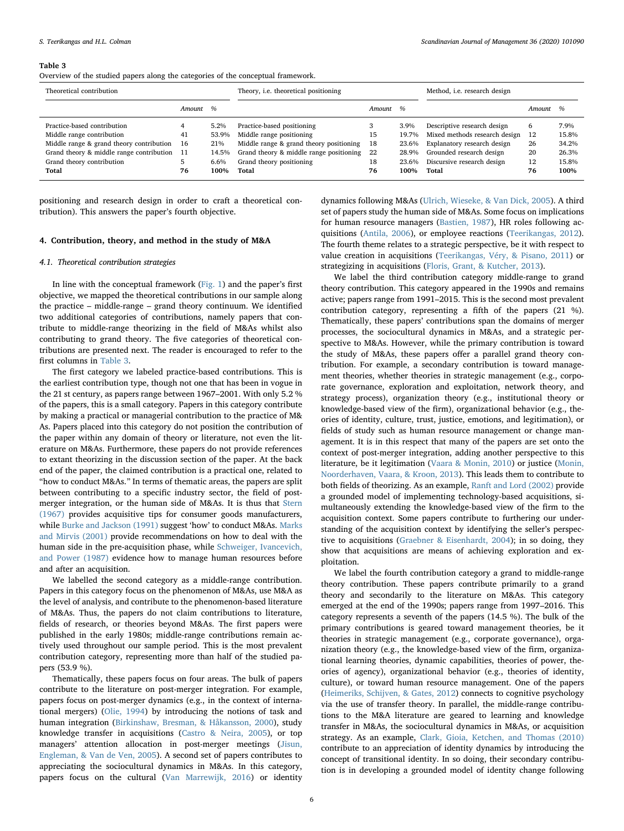#### <span id="page-5-0"></span>Table 3

Overview of the studied papers along the categories of the conceptual framework.

| Theoretical contribution                 |        |               | Theory, <i>i.e.</i> theoretical positioning |        |       | Method, i.e. research design  |        |       |
|------------------------------------------|--------|---------------|---------------------------------------------|--------|-------|-------------------------------|--------|-------|
|                                          | Amount | $\frac{0}{0}$ |                                             | Amount | $\%$  |                               | Amount | $\%$  |
| Practice-based contribution              | 4      | 5.2%          | Practice-based positioning                  |        | 3.9%  | Descriptive research design   | 6      | 7.9%  |
| Middle range contribution                | 41     | 53.9%         | Middle range positioning                    | 15     | 19.7% | Mixed methods research design | - 12   | 15.8% |
| Middle range & grand theory contribution | - 16   | 21%           | Middle range & grand theory positioning     | 18     | 23.6% | Explanatory research design   | 26     | 34.2% |
| Grand theory & middle range contribution | $-11$  | 14.5%         | Grand theory & middle range positioning     | -22    | 28.9% | Grounded research design      | 20     | 26.3% |
| Grand theory contribution                | b.     | 6.6%          | Grand theory positioning                    | 18     | 23.6% | Discursive research design    | 12     | 15.8% |
| Total                                    | 76     | 100%          | Total                                       | 76     | 100%  | Total                         | 76     | 100%  |

positioning and research design in order to craft a theoretical contribution). This answers the paper's fourth objective.

## 4. Contribution, theory, and method in the study of M&A

#### 4.1. Theoretical contribution strategies

In line with the conceptual framework [\(Fig. 1](#page-3-0)) and the paper's first objective, we mapped the theoretical contributions in our sample along the practice – middle-range – grand theory continuum. We identified two additional categories of contributions, namely papers that contribute to middle-range theorizing in the field of M&As whilst also contributing to grand theory. The five categories of theoretical contributions are presented next. The reader is encouraged to refer to the first columns in [Table 3.](#page-5-0)

The first category we labeled practice-based contributions. This is the earliest contribution type, though not one that has been in vogue in the 21 st century, as papers range between 1967–2001. With only 5.2 % of the papers, this is a small category. Papers in this category contribute by making a practical or managerial contribution to the practice of M& As. Papers placed into this category do not position the contribution of the paper within any domain of theory or literature, not even the literature on M&As. Furthermore, these papers do not provide references to extant theorizing in the discussion section of the paper. At the back end of the paper, the claimed contribution is a practical one, related to "how to conduct M&As." In terms of thematic areas, the papers are split between contributing to a specific industry sector, the field of postmerger integration, or the human side of M&As. It is thus that [Stern](#page-15-14) [\(1967\)](#page-15-14) provides acquisitive tips for consumer goods manufacturers, while [Burke and Jackson \(1991\)](#page-13-32) suggest 'how' to conduct M&As. [Marks](#page-14-31) [and Mirvis \(2001\)](#page-14-31) provide recommendations on how to deal with the human side in the pre-acquisition phase, while [Schweiger, Ivancevich,](#page-14-28) [and Power \(1987\)](#page-14-28) evidence how to manage human resources before and after an acquisition.

We labelled the second category as a middle-range contribution. Papers in this category focus on the phenomenon of M&As, use M&A as the level of analysis, and contribute to the phenomenon-based literature of M&As. Thus, the papers do not claim contributions to literature, fields of research, or theories beyond M&As. The first papers were published in the early 1980s; middle-range contributions remain actively used throughout our sample period. This is the most prevalent contribution category, representing more than half of the studied papers (53.9 %).

Thematically, these papers focus on four areas. The bulk of papers contribute to the literature on post-merger integration. For example, papers focus on post-merger dynamics (e.g., in the context of international mergers) ([Olie, 1994](#page-14-32)) by introducing the notions of task and human integration [\(Birkinshaw, Bresman, & Håkansson, 2000](#page-13-33)), study knowledge transfer in acquisitions ([Castro & Neira, 2005](#page-13-50)), or top managers' attention allocation in post-merger meetings ([Jisun,](#page-14-41) Engleman, [& Van de Ven, 2005](#page-14-41)). A second set of papers contributes to appreciating the sociocultural dynamics in M&As. In this category, papers focus on the cultural ([Van Marrewijk, 2016\)](#page-15-29) or identity

dynamics following M&As ([Ulrich, Wieseke, & Van Dick, 2005](#page-15-27)). A third set of papers study the human side of M&As. Some focus on implications for human resource managers ([Bastien, 1987\)](#page-12-4), HR roles following acquisitions ([Antila, 2006\)](#page-12-5), or employee reactions ([Teerikangas, 2012](#page-15-24)). The fourth theme relates to a strategic perspective, be it with respect to value creation in acquisitions ([Teerikangas, Véry, & Pisano, 2011](#page-15-21)) or strategizing in acquisitions [\(Floris, Grant, & Kutcher, 2013\)](#page-13-53).

We label the third contribution category middle-range to grand theory contribution. This category appeared in the 1990s and remains active; papers range from 1991–2015. This is the second most prevalent contribution category, representing a fifth of the papers (21 %). Thematically, these papers' contributions span the domains of merger processes, the sociocultural dynamics in M&As, and a strategic perspective to M&As. However, while the primary contribution is toward the study of M&As, these papers offer a parallel grand theory contribution. For example, a secondary contribution is toward management theories, whether theories in strategic management (e.g., corporate governance, exploration and exploitation, network theory, and strategy process), organization theory (e.g., institutional theory or knowledge-based view of the firm), organizational behavior (e.g., theories of identity, culture, trust, justice, emotions, and legitimation), or fields of study such as human resource management or change management. It is in this respect that many of the papers are set onto the context of post-merger integration, adding another perspective to this literature, be it legitimation [\(Vaara & Monin, 2010\)](#page-15-19) or justice ([Monin,](#page-14-45) [Noorderhaven, Vaara, & Kroon, 2013\)](#page-14-45). This leads them to contribute to both fields of theorizing. As an example, [Ranft and Lord \(2002\)](#page-14-36) provide a grounded model of implementing technology-based acquisitions, simultaneously extending the knowledge-based view of the firm to the acquisition context. Some papers contribute to furthering our understanding of the acquisition context by identifying the seller's perspective to acquisitions ([Graebner & Eisenhardt, 2004](#page-13-49)); in so doing, they show that acquisitions are means of achieving exploration and exploitation.

We label the fourth contribution category a grand to middle-range theory contribution. These papers contribute primarily to a grand theory and secondarily to the literature on M&As. This category emerged at the end of the 1990s; papers range from 1997–2016. This category represents a seventh of the papers (14.5 %). The bulk of the primary contributions is geared toward management theories, be it theories in strategic management (e.g., corporate governance), organization theory (e.g., the knowledge-based view of the firm, organizational learning theories, dynamic capabilities, theories of power, theories of agency), organizational behavior (e.g., theories of identity, culture), or toward human resource management. One of the papers ([Heimeriks, Schijven, & Gates, 2012\)](#page-14-39) connects to cognitive psychology via the use of transfer theory. In parallel, the middle-range contributions to the M&A literature are geared to learning and knowledge transfer in M&As, the sociocultural dynamics in M&As, or acquisition strategy. As an example, [Clark, Gioia, Ketchen, and Thomas \(2010\)](#page-13-36) contribute to an appreciation of identity dynamics by introducing the concept of transitional identity. In so doing, their secondary contribution is in developing a grounded model of identity change following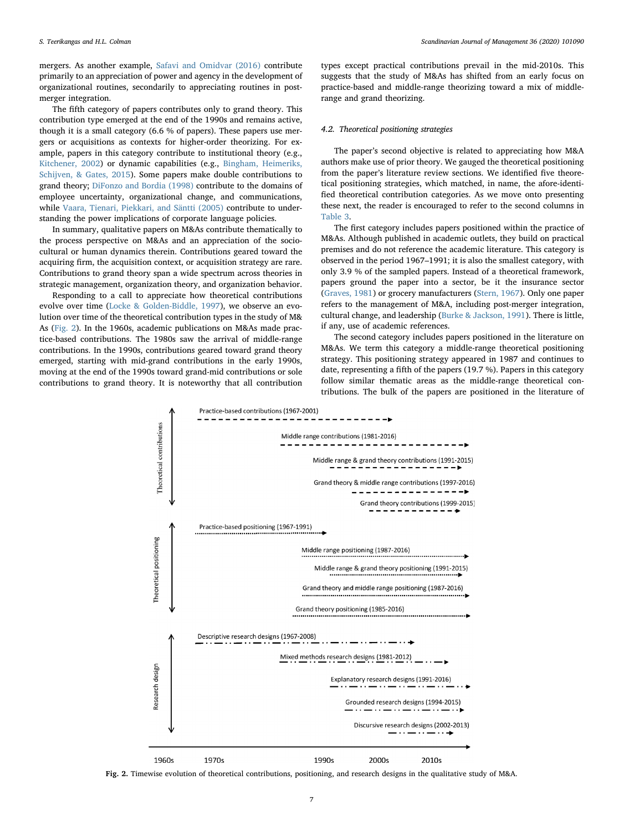mergers. As another example, [Safavi and Omidvar \(2016\)](#page-14-49) contribute primarily to an appreciation of power and agency in the development of organizational routines, secondarily to appreciating routines in postmerger integration.

The fifth category of papers contributes only to grand theory. This contribution type emerged at the end of the 1990s and remains active, though it is a small category (6.6 % of papers). These papers use mergers or acquisitions as contexts for higher-order theorizing. For example, papers in this category contribute to institutional theory (e.g., [Kitchener, 2002\)](#page-14-34) or dynamic capabilities (e.g., [Bingham, Heimeriks,](#page-13-55) [Schijven, & Gates, 2015\)](#page-13-55). Some papers make double contributions to grand theory; [DiFonzo and Bordia \(1998\)](#page-13-41) contribute to the domains of employee uncertainty, organizational change, and communications, while [Vaara, Tienari, Piekkari, and Säntti \(2005\)](#page-15-26) contribute to understanding the power implications of corporate language policies.

In summary, qualitative papers on M&As contribute thematically to the process perspective on M&As and an appreciation of the sociocultural or human dynamics therein. Contributions geared toward the acquiring firm, the acquisition context, or acquisition strategy are rare. Contributions to grand theory span a wide spectrum across theories in strategic management, organization theory, and organization behavior.

Responding to a call to appreciate how theoretical contributions evolve over time [\(Locke & Golden-Biddle, 1997](#page-14-3)), we observe an evolution over time of the theoretical contribution types in the study of M& As [\(Fig. 2\)](#page-6-0). In the 1960s, academic publications on M&As made practice-based contributions. The 1980s saw the arrival of middle-range contributions. In the 1990s, contributions geared toward grand theory emerged, starting with mid-grand contributions in the early 1990s, moving at the end of the 1990s toward grand-mid contributions or sole contributions to grand theory. It is noteworthy that all contribution

types except practical contributions prevail in the mid-2010s. This suggests that the study of M&As has shifted from an early focus on practice-based and middle-range theorizing toward a mix of middlerange and grand theorizing.

## 4.2. Theoretical positioning strategies

The paper's second objective is related to appreciating how M&A authors make use of prior theory. We gauged the theoretical positioning from the paper's literature review sections. We identified five theoretical positioning strategies, which matched, in name, the afore-identified theoretical contribution categories. As we move onto presenting these next, the reader is encouraged to refer to the second columns in [Table 3](#page-5-0).

The first category includes papers positioned within the practice of M&As. Although published in academic outlets, they build on practical premises and do not reference the academic literature. This category is observed in the period 1967–1991; it is also the smallest category, with only 3.9 % of the sampled papers. Instead of a theoretical framework, papers ground the paper into a sector, be it the insurance sector ([Graves, 1981\)](#page-13-31) or grocery manufacturers [\(Stern, 1967](#page-15-14)). Only one paper refers to the management of M&A, including post-merger integration, cultural change, and leadership ([Burke & Jackson, 1991\)](#page-13-32). There is little, if any, use of academic references.

The second category includes papers positioned in the literature on M&As. We term this category a middle-range theoretical positioning strategy. This positioning strategy appeared in 1987 and continues to date, representing a fifth of the papers (19.7 %). Papers in this category follow similar thematic areas as the middle-range theoretical contributions. The bulk of the papers are positioned in the literature of

<span id="page-6-0"></span>

Fig. 2. Timewise evolution of theoretical contributions, positioning, and research designs in the qualitative study of M&A.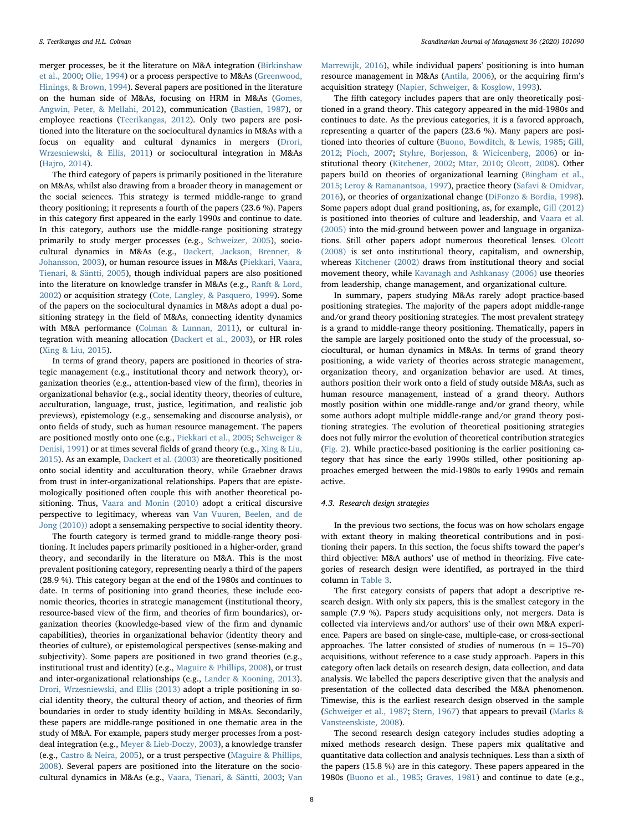merger processes, be it the literature on M&A integration [\(Birkinshaw](#page-13-33) [et al., 2000](#page-13-33); [Olie, 1994\)](#page-14-32) or a process perspective to M&As [\(Greenwood,](#page-13-38) [Hinings, & Brown, 1994\)](#page-13-38). Several papers are positioned in the literature on the human side of M&As, focusing on HRM in M&As ([Gomes,](#page-13-46) [Angwin, Peter, & Mellahi, 2012\)](#page-13-46), communication [\(Bastien, 1987\)](#page-12-4), or employee reactions ([Teerikangas, 2012](#page-15-24)). Only two papers are positioned into the literature on the sociocultural dynamics in M&As with a focus on equality and cultural dynamics in mergers ([Drori,](#page-13-44) [Wrzesniewski, & Ellis, 2011\)](#page-13-44) or sociocultural integration in M&As ([Hajro, 2014](#page-13-54)).

The third category of papers is primarily positioned in the literature on M&As, whilst also drawing from a broader theory in management or the social sciences. This strategy is termed middle-range to grand theory positioning; it represents a fourth of the papers (23.6 %). Papers in this category first appeared in the early 1990s and continue to date. In this category, authors use the middle-range positioning strategy primarily to study merger processes (e.g., [Schweizer, 2005\)](#page-14-46), sociocultural dynamics in M&As (e.g., [Dackert, Jackson, Brenner, &](#page-13-45) [Johansson, 2003\)](#page-13-45), or human resource issues in M&As [\(Piekkari, Vaara,](#page-14-42) [Tienari, & Säntti, 2005](#page-14-42)), though individual papers are also positioned into the literature on knowledge transfer in M&As (e.g., [Ranft & Lord,](#page-14-36) [2002\)](#page-14-36) or acquisition strategy ([Cote, Langley, & Pasquero, 1999\)](#page-13-42). Some of the papers on the sociocultural dynamics in M&As adopt a dual positioning strategy in the field of M&As, connecting identity dynamics with M&A performance ([Colman & Lunnan, 2011](#page-13-43)), or cultural integration with meaning allocation [\(Dackert et al., 2003\)](#page-13-45), or HR roles ([Xing & Liu, 2015\)](#page-15-28).

In terms of grand theory, papers are positioned in theories of strategic management (e.g., institutional theory and network theory), organization theories (e.g., attention-based view of the firm), theories in organizational behavior (e.g., social identity theory, theories of culture, acculturation, language, trust, justice, legitimation, and realistic job previews), epistemology (e.g., sensemaking and discourse analysis), or onto fields of study, such as human resource management. The papers are positioned mostly onto one (e.g., [Piekkari et al., 2005](#page-14-42); [Schweiger &](#page-14-26) [Denisi, 1991\)](#page-14-26) or at times several fields of grand theory (e.g., [Xing & Liu,](#page-15-28) [2015\)](#page-15-28). As an example, [Dackert et al. \(2003\)](#page-13-45) are theoretically positioned onto social identity and acculturation theory, while Graebner draws from trust in inter-organizational relationships. Papers that are epistemologically positioned often couple this with another theoretical positioning. Thus, [Vaara and Monin \(2010\)](#page-15-19) adopt a critical discursive perspective to legitimacy, whereas van [Van Vuuren, Beelen, and de](#page-15-17) [Jong \(2010\)\)](#page-15-17) adopt a sensemaking perspective to social identity theory.

The fourth category is termed grand to middle-range theory positioning. It includes papers primarily positioned in a higher-order, grand theory, and secondarily in the literature on M&A. This is the most prevalent positioning category, representing nearly a third of the papers (28.9 %). This category began at the end of the 1980s and continues to date. In terms of positioning into grand theories, these include economic theories, theories in strategic management (institutional theory, resource-based view of the firm, and theories of firm boundaries), organization theories (knowledge-based view of the firm and dynamic capabilities), theories in organizational behavior (identity theory and theories of culture), or epistemological perspectives (sense-making and subjectivity). Some papers are positioned in two grand theories (e.g., institutional trust and identity) (e.g., [Maguire & Phillips, 2008\)](#page-14-51), or trust and inter-organizational relationships (e.g., [Lander & Kooning, 2013](#page-14-44)). [Drori, Wrzesniewski, and Ellis \(2013\)](#page-13-52) adopt a triple positioning in social identity theory, the cultural theory of action, and theories of firm boundaries in order to study identity building in M&As. Secondarily, these papers are middle-range positioned in one thematic area in the study of M&A. For example, papers study merger processes from a postdeal integration (e.g., [Meyer & Lieb-Doczy, 2003](#page-14-38)), a knowledge transfer (e.g., [Castro & Neira, 2005](#page-13-50)), or a trust perspective [\(Maguire & Phillips,](#page-14-51) [2008\)](#page-14-51). Several papers are positioned into the literature on the sociocultural dynamics in M&As (e.g., [Vaara, Tienari, & Säntti, 2003](#page-15-23); [Van](#page-15-29)

[Marrewijk, 2016](#page-15-29)), while individual papers' positioning is into human resource management in M&As [\(Antila, 2006\)](#page-12-5), or the acquiring firm's acquisition strategy ([Napier, Schweiger, & Kosglow, 1993](#page-14-29)).

The fifth category includes papers that are only theoretically positioned in a grand theory. This category appeared in the mid-1980s and continues to date. As the previous categories, it is a favored approach, representing a quarter of the papers (23.6 %). Many papers are positioned into theories of culture [\(Buono, Bowditch, & Lewis, 1985;](#page-13-34) [Gill,](#page-13-35) [2012;](#page-13-35) [Pioch, 2007](#page-14-50); [Styhre, Borjesson, & Wicicenberg, 2006](#page-15-30)) or institutional theory [\(Kitchener, 2002](#page-14-34); [Mtar, 2010](#page-14-30); [Olcott, 2008](#page-14-54)). Other papers build on theories of organizational learning [\(Bingham et al.,](#page-13-55) [2015;](#page-13-55) [Leroy & Ramanantsoa, 1997\)](#page-14-33), practice theory [\(Safavi & Omidvar,](#page-14-49) [2016\)](#page-14-49), or theories of organizational change ([DiFonzo & Bordia, 1998](#page-13-41)). Some papers adopt dual grand positioning, as, for example, [Gill \(2012\)](#page-13-35) is positioned into theories of culture and leadership, and [Vaara et al.](#page-15-26) [\(2005\)](#page-15-26) into the mid-ground between power and language in organizations. Still other papers adopt numerous theoretical lenses. [Olcott](#page-14-54) [\(2008\)](#page-14-54) is set onto institutional theory, capitalism, and ownership, whereas [Kitchener \(2002\)](#page-14-34) draws from institutional theory and social movement theory, while [Kavanagh and Ashkanasy \(2006\)](#page-14-48) use theories from leadership, change management, and organizational culture.

In summary, papers studying M&As rarely adopt practice-based positioning strategies. The majority of the papers adopt middle-range and/or grand theory positioning strategies. The most prevalent strategy is a grand to middle-range theory positioning. Thematically, papers in the sample are largely positioned onto the study of the processual, sociocultural, or human dynamics in M&As. In terms of grand theory positioning, a wide variety of theories across strategic management, organization theory, and organization behavior are used. At times, authors position their work onto a field of study outside M&As, such as human resource management, instead of a grand theory. Authors mostly position within one middle-range and/or grand theory, while some authors adopt multiple middle-range and/or grand theory positioning strategies. The evolution of theoretical positioning strategies does not fully mirror the evolution of theoretical contribution strategies ([Fig. 2](#page-6-0)). While practice-based positioning is the earlier positioning category that has since the early 1990s stilled, other positioning approaches emerged between the mid-1980s to early 1990s and remain active.

#### 4.3. Research design strategies

In the previous two sections, the focus was on how scholars engage with extant theory in making theoretical contributions and in positioning their papers. In this section, the focus shifts toward the paper's third objective: M&A authors' use of method in theorizing. Five categories of research design were identified, as portrayed in the third column in [Table 3.](#page-5-0)

The first category consists of papers that adopt a descriptive research design. With only six papers, this is the smallest category in the sample (7.9 %). Papers study acquisitions only, not mergers. Data is collected via interviews and/or authors' use of their own M&A experience. Papers are based on single-case, multiple-case, or cross-sectional approaches. The latter consisted of studies of numerous  $(n = 15-70)$ acquisitions, without reference to a case study approach. Papers in this category often lack details on research design, data collection, and data analysis. We labelled the papers descriptive given that the analysis and presentation of the collected data described the M&A phenomenon. Timewise, this is the earliest research design observed in the sample ([Schweiger et al., 1987](#page-14-28); [Stern, 1967\)](#page-15-14) that appears to prevail ([Marks &](#page-14-52) [Vansteenskiste, 2008](#page-14-52)).

The second research design category includes studies adopting a mixed methods research design. These papers mix qualitative and quantitative data collection and analysis techniques. Less than a sixth of the papers (15.8 %) are in this category. These papers appeared in the 1980s ([Buono et al., 1985;](#page-13-34) [Graves, 1981\)](#page-13-31) and continue to date (e.g.,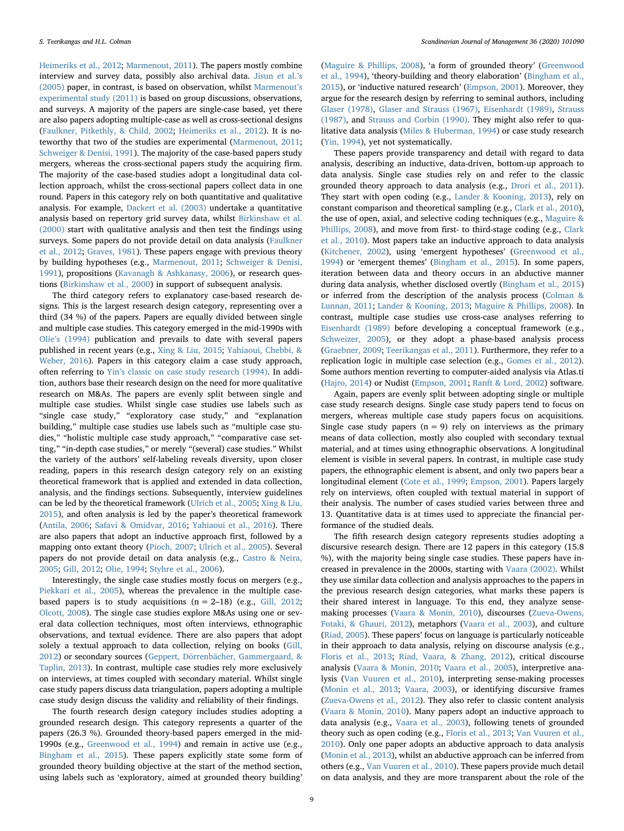[Heimeriks et al., 2012;](#page-14-39) [Marmenout, 2011\)](#page-14-37). The papers mostly combine interview and survey data, possibly also archival data. [Jisun et al.](#page-14-41)'s [\(2005\)](#page-14-41) paper, in contrast, is based on observation, whilst [Marmenout](#page-14-37)'s [experimental study \(2011\)](#page-14-37) is based on group discussions, observations, and surveys. A majority of the papers are single-case based, yet there are also papers adopting multiple-case as well as cross-sectional designs ([Faulkner, Pitkethly, & Child, 2002](#page-13-39); [Heimeriks et al., 2012\)](#page-14-39). It is noteworthy that two of the studies are experimental [\(Marmenout, 2011](#page-14-37); [Schweiger & Denisi, 1991\)](#page-14-26). The majority of the case-based papers study mergers, whereas the cross-sectional papers study the acquiring firm. The majority of the case-based studies adopt a longitudinal data collection approach, whilst the cross-sectional papers collect data in one round. Papers in this category rely on both quantitative and qualitative analysis. For example, [Dackert et al. \(2003\)](#page-13-45) undertake a quantitative analysis based on repertory grid survey data, whilst [Birkinshaw et al.](#page-13-33) [\(2000\)](#page-13-33) start with qualitative analysis and then test the findings using surveys. Some papers do not provide detail on data analysis ([Faulkner](#page-13-2) [et al., 2012](#page-13-2); [Graves, 1981](#page-13-31)). These papers engage with previous theory by building hypotheses (e.g., [Marmenout, 2011](#page-14-37); [Schweiger & Denisi,](#page-14-26) [1991\)](#page-14-26), propositions ([Kavanagh & Ashkanasy, 2006](#page-14-48)), or research questions [\(Birkinshaw et al., 2000](#page-13-33)) in support of subsequent analysis.

The third category refers to explanatory case-based research designs. This is the largest research design category, representing over a third (34 %) of the papers. Papers are equally divided between single and multiple case studies. This category emerged in the mid-1990s with Olie'[s \(1994\)](#page-14-32) publication and prevails to date with several papers published in recent years (e.g., [Xing & Liu, 2015](#page-15-28); [Yahiaoui, Chebbi, &](#page-15-31) [Weber, 2016](#page-15-31)). Papers in this category claim a case study approach, often referring to Yin'[s classic on case study research \(1994\).](#page-15-32) In addition, authors base their research design on the need for more qualitative research on M&As. The papers are evenly split between single and multiple case studies. Whilst single case studies use labels such as "single case study," "exploratory case study," and "explanation building," multiple case studies use labels such as "multiple case studies," "holistic multiple case study approach," "comparative case setting," "in-depth case studies," or merely "(several) case studies." Whilst the variety of the authors' self-labeling reveals diversity, upon closer reading, papers in this research design category rely on an existing theoretical framework that is applied and extended in data collection, analysis, and the findings sections. Subsequently, interview guidelines can be led by the theoretical framework [\(Ulrich et al., 2005](#page-15-27); [Xing & Liu,](#page-15-28) [2015\)](#page-15-28), and often analysis is led by the paper's theoretical framework ([Antila, 2006](#page-12-5); [Safavi & Omidvar, 2016](#page-14-49); [Yahiaoui et al., 2016\)](#page-15-31). There are also papers that adopt an inductive approach first, followed by a mapping onto extant theory ([Pioch, 2007](#page-14-50); [Ulrich et al., 2005](#page-15-27)). Several papers do not provide detail on data analysis (e.g., [Castro & Neira,](#page-13-50) [2005;](#page-13-50) [Gill, 2012;](#page-13-35) [Olie, 1994](#page-14-32); [Styhre et al., 2006](#page-15-30)).

Interestingly, the single case studies mostly focus on mergers (e.g., [Piekkari et al., 2005](#page-14-42)), whereas the prevalence in the multiple casebased papers is to study acquisitions  $(n = 2-18)$  (e.g., [Gill, 2012](#page-13-35); [Olcott, 2008](#page-14-54)). The single case studies explore M&As using one or several data collection techniques, most often interviews, ethnographic observations, and textual evidence. There are also papers that adopt solely a textual approach to data collection, relying on books ([Gill,](#page-13-35) [2012\)](#page-13-35) or secondary sources ([Geppert, Dörrenbächer, Gammergaard, &](#page-13-51) [Taplin, 2013](#page-13-51)). In contrast, multiple case studies rely more exclusively on interviews, at times coupled with secondary material. Whilst single case study papers discuss data triangulation, papers adopting a multiple case study design discuss the validity and reliability of their findings.

The fourth research design category includes studies adopting a grounded research design. This category represents a quarter of the papers (26.3 %). Grounded theory-based papers emerged in the mid-1990s (e.g., [Greenwood et al., 1994\)](#page-13-38) and remain in active use (e.g., [Bingham et al., 2015\)](#page-13-55). These papers explicitly state some form of grounded theory building objective at the start of the method section, using labels such as 'exploratory, aimed at grounded theory building'

([Maguire & Phillips, 2008\)](#page-14-51), 'a form of grounded theory' [\(Greenwood](#page-13-38) [et al., 1994](#page-13-38)), 'theory-building and theory elaboration' ([Bingham et al.,](#page-13-55) [2015\)](#page-13-55), or 'inductive natured research' ([Empson, 2001](#page-13-37)). Moreover, they argue for the research design by referring to seminal authors, including [Glaser \(1978\)](#page-13-57), [Glaser and Strauss \(1967\)](#page-13-19), [Eisenhardt \(1989\)](#page-13-58), [Strauss](#page-15-33) [\(1987\),](#page-15-33) and [Strauss and Corbin \(1990\)](#page-15-34). They might also refer to qualitative data analysis ([Miles & Huberman, 1994](#page-14-56)) or case study research ([Yin, 1994](#page-15-32)), yet not systematically.

These papers provide transparency and detail with regard to data analysis, describing an inductive, data-driven, bottom-up approach to data analysis. Single case studies rely on and refer to the classic grounded theory approach to data analysis (e.g., [Drori et al., 2011](#page-13-44)). They start with open coding (e.g., [Lander & Kooning, 2013](#page-14-44)), rely on constant comparison and theoretical sampling (e.g., [Clark et al., 2010](#page-13-36)), the use of open, axial, and selective coding techniques (e.g., [Maguire &](#page-14-51) [Phillips, 2008](#page-14-51)), and move from first- to third-stage coding (e.g., [Clark](#page-13-36) [et al., 2010\)](#page-13-36). Most papers take an inductive approach to data analysis ([Kitchener, 2002](#page-14-34)), using 'emergent hypotheses' [\(Greenwood et al.,](#page-13-38) [1994\)](#page-13-38) or 'emergent themes' ([Bingham et al., 2015](#page-13-55)). In some papers, iteration between data and theory occurs in an abductive manner during data analysis, whether disclosed overtly ([Bingham et al., 2015\)](#page-13-55) or inferred from the description of the analysis process ([Colman &](#page-13-43) [Lunnan, 2011;](#page-13-43) [Lander & Kooning, 2013](#page-14-44); [Maguire & Phillips, 2008\)](#page-14-51). In contrast, multiple case studies use cross-case analyses referring to [Eisenhardt \(1989\)](#page-13-58) before developing a conceptual framework (e.g., [Schweizer, 2005](#page-14-46)), or they adopt a phase-based analysis process ([Graebner, 2009](#page-13-56); [Teerikangas et al., 2011\)](#page-15-21). Furthermore, they refer to a replication logic in multiple case selection (e.g., [Gomes et al., 2012](#page-13-46)). Some authors mention reverting to computer-aided analysis via Atlas.ti ([Hajro, 2014](#page-13-54)) or Nudist [\(Empson, 2001;](#page-13-37) [Ranft & Lord, 2002\)](#page-14-36) software.

Again, papers are evenly split between adopting single or multiple case study research designs. Single case study papers tend to focus on mergers, whereas multiple case study papers focus on acquisitions. Single case study papers ( $n = 9$ ) rely on interviews as the primary means of data collection, mostly also coupled with secondary textual material, and at times using ethnographic observations. A longitudinal element is visible in several papers. In contrast, in multiple case study papers, the ethnographic element is absent, and only two papers bear a longitudinal element ([Cote et al., 1999;](#page-13-42) [Empson, 2001\)](#page-13-37). Papers largely rely on interviews, often coupled with textual material in support of their analysis. The number of cases studied varies between three and 13. Quantitative data is at times used to appreciate the financial performance of the studied deals.

The fifth research design category represents studies adopting a discursive research design. There are 12 papers in this category (15.8 %), with the majority being single case studies. These papers have increased in prevalence in the 2000s, starting with [Vaara \(2002\)](#page-15-20). Whilst they use similar data collection and analysis approaches to the papers in the previous research design categories, what marks these papers is their shared interest in language. To this end, they analyze sensemaking processes [\(Vaara & Monin, 2010](#page-15-19)), discourses ([Zueva-Owens,](#page-15-25) [Fotaki, & Ghauri, 2012\)](#page-15-25), metaphors [\(Vaara et al., 2003](#page-15-23)), and culture ([Riad, 2005](#page-14-43)). These papers' focus on language is particularly noticeable in their approach to data analysis, relying on discourse analysis (e.g., [Floris et al., 2013](#page-13-53); [Riad, Vaara, & Zhang, 2012\)](#page-14-40), critical discourse analysis ([Vaara & Monin, 2010](#page-15-19); [Vaara et al., 2005\)](#page-15-26), interpretive analysis ([Van Vuuren et al., 2010\)](#page-15-17), interpreting sense-making processes ([Monin et al., 2013](#page-14-45); [Vaara, 2003](#page-15-22)), or identifying discursive frames ([Zueva-Owens et al., 2012\)](#page-15-25). They also refer to classic content analysis ([Vaara & Monin, 2010\)](#page-15-19). Many papers adopt an inductive approach to data analysis (e.g., [Vaara et al., 2003](#page-15-23)), following tenets of grounded theory such as open coding (e.g., [Floris et al., 2013](#page-13-53); [Van Vuuren et al.,](#page-15-17) [2010\)](#page-15-17). Only one paper adopts an abductive approach to data analysis ([Monin et al., 2013\)](#page-14-45), whilst an abductive approach can be inferred from others (e.g., [Van Vuuren et al., 2010\)](#page-15-17). These papers provide much detail on data analysis, and they are more transparent about the role of the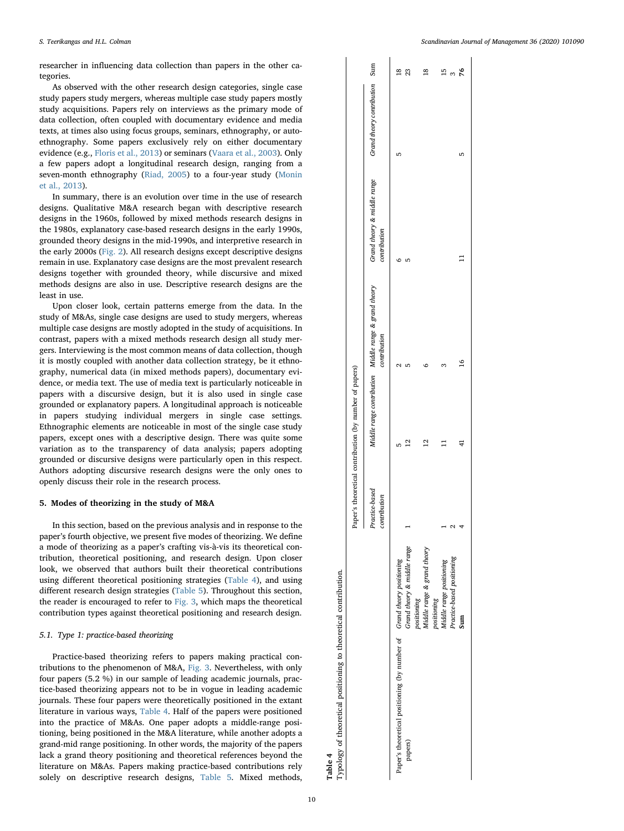researcher in influencing data collection than papers in the other categories.

As observed with the other research design categories, single case study papers study mergers, whereas multiple case study papers mostly study acquisitions. Papers rely on interviews as the primary mode of data collection, often coupled with documentary evidence and media texts, at times also using focus groups, seminars, ethnography, or autoethnography. Some papers exclusively rely on either documentary evidence (e.g., [Floris et al., 2013\)](#page-13-53) or seminars [\(Vaara et al., 2003](#page-15-23)). Only a few papers adopt a longitudinal research design, ranging from a seven-month ethnography [\(Riad, 2005](#page-14-43)) to a four-year study ([Monin](#page-14-45) [et al., 2013](#page-14-45)).

In summary, there is an evolution over time in the use of research designs. Qualitative M&A research began with descriptive research designs in the 1960s, followed by mixed methods research designs in the 1980s, explanatory case-based research designs in the early 1990s, grounded theory designs in the mid-1990s, and interpretive research in the early 2000s [\(Fig. 2](#page-6-0)). All research designs except descriptive designs remain in use. Explanatory case designs are the most prevalent research designs together with grounded theory, while discursive and mixed methods designs are also in use. Descriptive research designs are the least in use.

Upon closer look, certain patterns emerge from the data. In the study of M&As, single case designs are used to study mergers, whereas multiple case designs are mostly adopted in the study of acquisitions. In contrast, papers with a mixed methods research design all study mergers. Interviewing is the most common means of data collection, though it is mostly coupled with another data collection strategy, be it ethnography, numerical data (in mixed methods papers), documentary evidence, or media text. The use of media text is particularly noticeable in papers with a discursive design, but it is also used in single case grounded or explanatory papers. A longitudinal approach is noticeable in papers studying individual mergers in single case settings. Ethnographic elements are noticeable in most of the single case study papers, except ones with a descriptive design. There was quite some variation as to the transparency of data analysis; papers adopting grounded or discursive designs were particularly open in this respect. Authors adopting discursive research designs were the only ones to openly discuss their role in the research process.

#### 5. Modes of theorizing in the study of M&A

In this section, based on the previous analysis and in response to the paper's fourth objective, we present five modes of theorizing. We define a mode of theorizing as a paper's crafting vis-à-vis its theoretical contribution, theoretical positioning, and research design. Upon closer look, we observed that authors built their theoretical contributions using different theoretical positioning strategies [\(Table 4\)](#page-9-0), and using different research design strategies [\(Table 5\)](#page-10-0). Throughout this section, the reader is encouraged to refer to [Fig. 3](#page-10-1), which maps the theoretical contribution types against theoretical positioning and research design.

## 5.1. Type 1: practice-based theorizing

Practice-based theorizing refers to papers making practical contributions to the phenomenon of M&A, [Fig. 3.](#page-10-1) Nevertheless, with only four papers (5.2 %) in our sample of leading academic journals, practice-based theorizing appears not to be in vogue in leading academic journals. These four papers were theoretically positioned in the extant literature in various ways, [Table 4](#page-9-0). Half of the papers were positioned into the practice of M&As. One paper adopts a middle-range positioning, being positioned in the M&A literature, while another adopts a grand-mid range positioning. In other words, the majority of the papers lack a grand theory positioning and theoretical references beyond the literature on M&As. Papers making practice-based contributions rely solely on descriptive research designs, [Table 5](#page-10-0). Mixed methods,

<span id="page-9-0"></span>

|                                                                        |                             |                                | Paper's theoretical contribution (by number of papers) |               |                                                                                                                                 |     |                |
|------------------------------------------------------------------------|-----------------------------|--------------------------------|--------------------------------------------------------|---------------|---------------------------------------------------------------------------------------------------------------------------------|-----|----------------|
|                                                                        |                             | Practice-based<br>contribution |                                                        | contribution  | Middle range contribution Middle range & grand theory Grand theory & middle range Grand theory contribution Sum<br>contribution |     |                |
| Paper's theoretical positioning (by number of Grand theory positioning |                             |                                |                                                        |               |                                                                                                                                 |     | $\frac{8}{18}$ |
| papers)                                                                | Grand theory & middle range |                                | $^{12}$                                                |               |                                                                                                                                 |     | 23             |
|                                                                        | positioning                 |                                |                                                        |               |                                                                                                                                 |     |                |
|                                                                        | Middle range & grand theory |                                |                                                        |               |                                                                                                                                 |     | $\frac{8}{2}$  |
|                                                                        | positioning                 |                                |                                                        |               |                                                                                                                                 |     |                |
|                                                                        | Middle range positioning    |                                |                                                        |               |                                                                                                                                 |     | Ŀ              |
|                                                                        | Practice-based positioning  |                                |                                                        |               |                                                                                                                                 |     |                |
|                                                                        | Sum                         |                                |                                                        | $\frac{8}{1}$ | ።                                                                                                                               | LN. | 76             |
|                                                                        |                             |                                |                                                        |               |                                                                                                                                 |     |                |

Table 4

Typology of theoretical positioning to theoretical contribution.

Typology of theoretical positioning to theoretical contribution.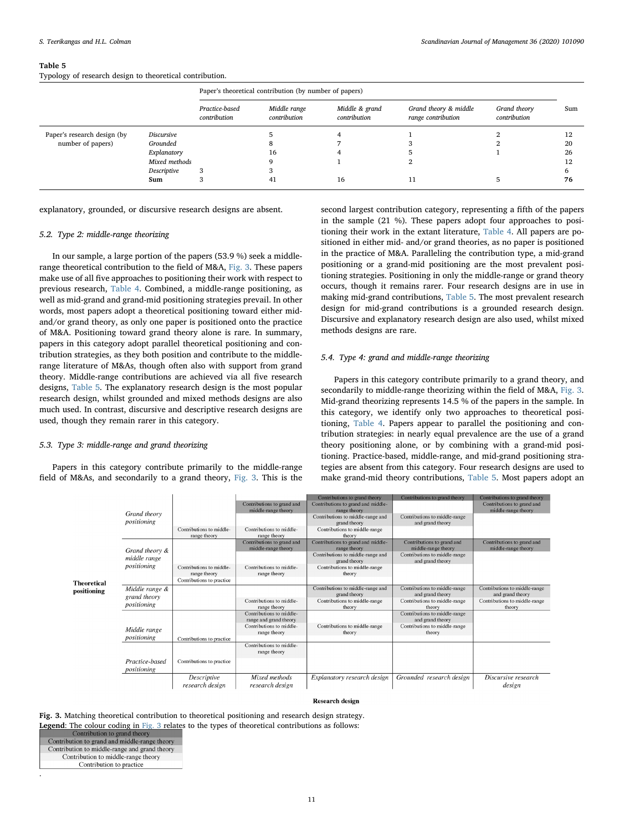#### <span id="page-10-0"></span>Table 5

Typology of research design to theoretical contribution.

|                             |                   |                                | Paper's theoretical contribution (by number of papers) |                                |                                             |                              |     |
|-----------------------------|-------------------|--------------------------------|--------------------------------------------------------|--------------------------------|---------------------------------------------|------------------------------|-----|
|                             |                   | Practice-based<br>contribution | Middle range<br>contribution                           | Middle & grand<br>contribution | Grand theory & middle<br>range contribution | Grand theory<br>contribution | Sum |
| Paper's research design (by | <i>Discursive</i> |                                |                                                        |                                |                                             |                              |     |
| number of papers)           | Grounded          |                                |                                                        |                                |                                             |                              | 20  |
|                             | Explanatory       |                                | 16                                                     |                                |                                             |                              | 26  |
|                             | Mixed methods     |                                |                                                        |                                |                                             |                              | 12  |
|                             | Descriptive       | 3                              |                                                        |                                |                                             |                              |     |
|                             | Sum               |                                | 41                                                     | 16                             | 11                                          |                              | 76  |

explanatory, grounded, or discursive research designs are absent.

## 5.2. Type 2: middle-range theorizing

In our sample, a large portion of the papers (53.9 %) seek a middlerange theoretical contribution to the field of M&A, [Fig. 3](#page-10-1). These papers make use of all five approaches to positioning their work with respect to previous research, [Table 4.](#page-9-0) Combined, a middle-range positioning, as well as mid-grand and grand-mid positioning strategies prevail. In other words, most papers adopt a theoretical positioning toward either midand/or grand theory, as only one paper is positioned onto the practice of M&A. Positioning toward grand theory alone is rare. In summary, papers in this category adopt parallel theoretical positioning and contribution strategies, as they both position and contribute to the middlerange literature of M&As, though often also with support from grand theory. Middle-range contributions are achieved via all five research designs, [Table 5](#page-10-0). The explanatory research design is the most popular research design, whilst grounded and mixed methods designs are also much used. In contrast, discursive and descriptive research designs are used, though they remain rarer in this category.

#### 5.3. Type 3: middle-range and grand theorizing

<span id="page-10-1"></span>Papers in this category contribute primarily to the middle-range field of M&As, and secondarily to a grand theory, [Fig. 3.](#page-10-1) This is the

second largest contribution category, representing a fifth of the papers in the sample (21 %). These papers adopt four approaches to positioning their work in the extant literature, [Table 4](#page-9-0). All papers are positioned in either mid- and/or grand theories, as no paper is positioned in the practice of M&A. Paralleling the contribution type, a mid-grand positioning or a grand-mid positioning are the most prevalent positioning strategies. Positioning in only the middle-range or grand theory occurs, though it remains rarer. Four research designs are in use in making mid-grand contributions, [Table 5](#page-10-0). The most prevalent research design for mid-grand contributions is a grounded research design. Discursive and explanatory research design are also used, whilst mixed methods designs are rare.

## 5.4. Type 4: grand and middle-range theorizing

Papers in this category contribute primarily to a grand theory, and secondarily to middle-range theorizing within the field of M&A, [Fig. 3](#page-10-1). Mid-grand theorizing represents 14.5 % of the papers in the sample. In this category, we identify only two approaches to theoretical positioning, [Table 4](#page-9-0). Papers appear to parallel the positioning and contribution strategies: in nearly equal prevalence are the use of a grand theory positioning alone, or by combining with a grand-mid positioning. Practice-based, middle-range, and mid-grand positioning strategies are absent from this category. Four research designs are used to make grand-mid theory contributions, [Table 5.](#page-10-0) Most papers adopt an

|                    |                |                           |                                          | Contributions to grand theory                 | Contributions to grand theory           | Contributions to grand theory |
|--------------------|----------------|---------------------------|------------------------------------------|-----------------------------------------------|-----------------------------------------|-------------------------------|
|                    |                |                           | Contributions to grand and               | Contributions to grand and middle-            |                                         | Contributions to grand and    |
|                    | Grand theory   |                           | middle-range theory                      | range theory                                  |                                         | middle-range theory           |
|                    | positioning    |                           |                                          | Contributions to middle-range and             | Contributions to middle-range           |                               |
|                    |                |                           |                                          | grand theory                                  | and grand theory                        |                               |
|                    |                | Contributions to middle-  | Contributions to middle-                 | Contributions to middle-range                 |                                         |                               |
|                    |                | range theory              | range theory                             | theory                                        |                                         |                               |
|                    |                |                           | Contributions to grand and               | Contributions to grand and middle-            | Contributions to grand and              | Contributions to grand and    |
|                    | Grand theory & |                           | middle-range theory                      | range theory                                  | middle-range theory                     | middle-range theory           |
|                    | middle range   |                           |                                          | Contributions to middle-range and             | Contributions to middle-range           |                               |
|                    | positioning    | Contributions to middle-  | Contributions to middle-                 | grand theory<br>Contributions to middle-range | and grand theory                        |                               |
|                    |                | range theory              | range theory                             | theory                                        |                                         |                               |
|                    |                | Contributions to practice |                                          |                                               |                                         |                               |
| <b>Theoretical</b> |                |                           |                                          |                                               |                                         |                               |
| positioning        | Middle range & |                           |                                          | Contributions to middle-range and             | Contributions to middle-range           | Contributions to middle-range |
|                    | grand theory   |                           |                                          | grand theory                                  | and grand theory                        | and grand theory              |
|                    | positioning    |                           | Contributions to middle-                 | Contributions to middle-range                 | Contributions to middle-range           | Contributions to middle-range |
|                    |                |                           | range theory<br>Contributions to middle- | theory                                        | theory<br>Contributions to middle-range | theory                        |
|                    |                |                           | range and grand theory                   |                                               | and grand theory                        |                               |
|                    |                |                           | Contributions to middle-                 | Contributions to middle-range                 | Contributions to middle-range           |                               |
|                    | Middle range   |                           | range theory                             | theory                                        | theory                                  |                               |
|                    | positioning    | Contributions to practice |                                          |                                               |                                         |                               |
|                    |                |                           | Contributions to middle-                 |                                               |                                         |                               |
|                    |                |                           | range theory                             |                                               |                                         |                               |
|                    |                |                           |                                          |                                               |                                         |                               |
|                    | Practice-based | Contributions to practice |                                          |                                               |                                         |                               |
|                    | positioning    |                           |                                          |                                               |                                         |                               |
|                    |                | Descriptive               | Mixed methods                            | Explanatory research design                   | Grounded research design                | Discursive research           |
|                    |                | research design           | research design                          |                                               |                                         | design                        |
|                    |                |                           |                                          |                                               |                                         |                               |

#### **Research design**

Fig. 3. Matching theoretical contribution to theoretical positioning and research design strategy. Legend: The colour coding in [Fig. 3](#page-10-1) relates to the types of theoretical contributions as follows:<br>Contribution to grand theory

Contribution to grand and middle-range theory Contribution to middle-range and grand theory Contribution to middle-range theory Contribution to practice

.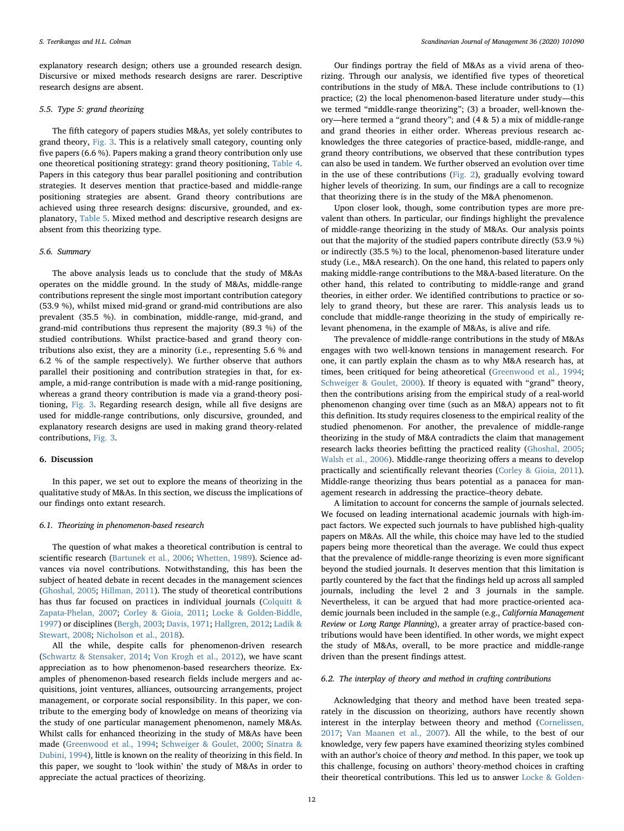explanatory research design; others use a grounded research design. Discursive or mixed methods research designs are rarer. Descriptive research designs are absent.

#### 5.5. Type 5: grand theorizing

The fifth category of papers studies M&As, yet solely contributes to grand theory, [Fig. 3.](#page-10-1) This is a relatively small category, counting only five papers (6.6 %). Papers making a grand theory contribution only use one theoretical positioning strategy: grand theory positioning, [Table 4](#page-9-0). Papers in this category thus bear parallel positioning and contribution strategies. It deserves mention that practice-based and middle-range positioning strategies are absent. Grand theory contributions are achieved using three research designs: discursive, grounded, and explanatory, [Table 5.](#page-10-0) Mixed method and descriptive research designs are absent from this theorizing type.

## 5.6. Summary

The above analysis leads us to conclude that the study of M&As operates on the middle ground. In the study of M&As, middle-range contributions represent the single most important contribution category (53.9 %), whilst mixed mid-grand or grand-mid contributions are also prevalent (35.5 %). in combination, middle-range, mid-grand, and grand-mid contributions thus represent the majority (89.3 %) of the studied contributions. Whilst practice-based and grand theory contributions also exist, they are a minority (i.e., representing 5.6 % and 6.2 % of the sample respectively). We further observe that authors parallel their positioning and contribution strategies in that, for example, a mid-range contribution is made with a mid-range positioning, whereas a grand theory contribution is made via a grand-theory positioning, [Fig. 3.](#page-10-1) Regarding research design, while all five designs are used for middle-range contributions, only discursive, grounded, and explanatory research designs are used in making grand theory-related contributions, [Fig. 3.](#page-10-1)

## 6. Discussion

In this paper, we set out to explore the means of theorizing in the qualitative study of M&As. In this section, we discuss the implications of our findings onto extant research.

#### 6.1. Theorizing in phenomenon-based research

The question of what makes a theoretical contribution is central to scientific research [\(Bartunek et al., 2006;](#page-12-0) [Whetten, 1989](#page-15-2)). Science advances via novel contributions. Notwithstanding, this has been the subject of heated debate in recent decades in the management sciences ([Ghoshal, 2005;](#page-13-14) [Hillman, 2011](#page-14-57)). The study of theoretical contributions has thus far focused on practices in individual journals ([Colquitt &](#page-13-4) [Zapata-Phelan, 2007](#page-13-4); [Corley & Gioia, 2011;](#page-13-5) [Locke & Golden-Biddle,](#page-14-3) [1997\)](#page-14-3) or disciplines [\(Bergh, 2003;](#page-13-8) [Davis, 1971;](#page-13-7) [Hallgren, 2012](#page-14-6); [Ladik &](#page-14-4) [Stewart, 2008](#page-14-4); [Nicholson et al., 2018\)](#page-14-5).

All the while, despite calls for phenomenon-driven research ([Schwartz & Stensaker, 2014](#page-14-7); [Von Krogh et al., 2012](#page-15-3)), we have scant appreciation as to how phenomenon-based researchers theorize. Examples of phenomenon-based research fields include mergers and acquisitions, joint ventures, alliances, outsourcing arrangements, project management, or corporate social responsibility. In this paper, we contribute to the emerging body of knowledge on means of theorizing via the study of one particular management phenomenon, namely M&As. Whilst calls for enhanced theorizing in the study of M&As have been made [\(Greenwood et al., 1994;](#page-13-38) [Schweiger & Goulet, 2000](#page-14-58); [Sinatra &](#page-14-59) [Dubini, 1994\)](#page-14-59), little is known on the reality of theorizing in this field. In this paper, we sought to 'look within' the study of M&As in order to appreciate the actual practices of theorizing.

Our findings portray the field of M&As as a vivid arena of theorizing. Through our analysis, we identified five types of theoretical contributions in the study of M&A. These include contributions to (1) practice; (2) the local phenomenon-based literature under study—this we termed "middle-range theorizing"; (3) a broader, well-known theory—here termed a "grand theory"; and (4 & 5) a mix of middle-range and grand theories in either order. Whereas previous research acknowledges the three categories of practice-based, middle-range, and grand theory contributions, we observed that these contribution types can also be used in tandem. We further observed an evolution over time in the use of these contributions [\(Fig. 2](#page-6-0)), gradually evolving toward higher levels of theorizing. In sum, our findings are a call to recognize that theorizing there is in the study of the M&A phenomenon.

Upon closer look, though, some contribution types are more prevalent than others. In particular, our findings highlight the prevalence of middle-range theorizing in the study of M&As. Our analysis points out that the majority of the studied papers contribute directly (53.9 %) or indirectly (35.5 %) to the local, phenomenon-based literature under study (i.e., M&A research). On the one hand, this related to papers only making middle-range contributions to the M&A-based literature. On the other hand, this related to contributing to middle-range and grand theories, in either order. We identified contributions to practice or solely to grand theory, but these are rarer. This analysis leads us to conclude that middle-range theorizing in the study of empirically relevant phenomena, in the example of M&As, is alive and rife.

The prevalence of middle-range contributions in the study of M&As engages with two well-known tensions in management research. For one, it can partly explain the chasm as to why M&A research has, at times, been critiqued for being atheoretical ([Greenwood et al., 1994](#page-13-38); [Schweiger & Goulet, 2000\)](#page-14-58). If theory is equated with "grand" theory, then the contributions arising from the empirical study of a real-world phenomenon changing over time (such as an M&A) appears not to fit this definition. Its study requires closeness to the empirical reality of the studied phenomenon. For another, the prevalence of middle-range theorizing in the study of M&A contradicts the claim that management research lacks theories befitting the practiced reality [\(Ghoshal, 2005](#page-13-14); [Walsh et al., 2006](#page-15-1)). Middle-range theorizing offers a means to develop practically and scientifically relevant theories [\(Corley & Gioia, 2011](#page-13-5)). Middle-range theorizing thus bears potential as a panacea for management research in addressing the practice–theory debate.

A limitation to account for concerns the sample of journals selected. We focused on leading international academic journals with high-impact factors. We expected such journals to have published high-quality papers on M&As. All the while, this choice may have led to the studied papers being more theoretical than the average. We could thus expect that the prevalence of middle-range theorizing is even more significant beyond the studied journals. It deserves mention that this limitation is partly countered by the fact that the findings held up across all sampled journals, including the level 2 and 3 journals in the sample. Nevertheless, it can be argued that had more practice-oriented academic journals been included in the sample (e.g., California Management Review or Long Range Planning), a greater array of practice-based contributions would have been identified. In other words, we might expect the study of M&As, overall, to be more practice and middle-range driven than the present findings attest.

## 6.2. The interplay of theory and method in crafting contributions

Acknowledging that theory and method have been treated separately in the discussion on theorizing, authors have recently shown interest in the interplay between theory and method ([Cornelissen,](#page-13-10) [2017;](#page-13-10) [Van Maanen et al., 2007\)](#page-15-8). All the while, to the best of our knowledge, very few papers have examined theorizing styles combined with an author's choice of theory and method. In this paper, we took up this challenge, focusing on authors' theory-method choices in crafting their theoretical contributions. This led us to answer [Locke & Golden-](#page-14-3)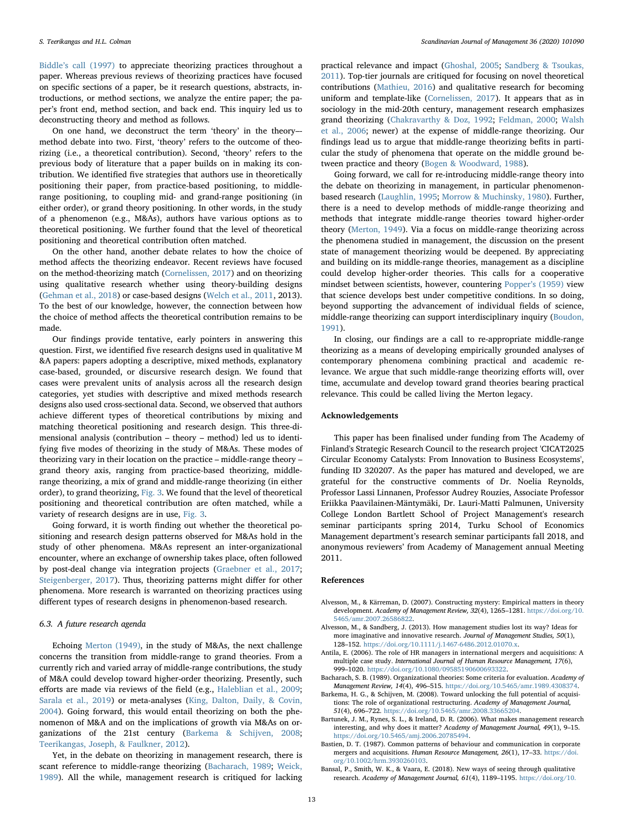Biddle'[s call \(1997\)](#page-14-3) to appreciate theorizing practices throughout a paper. Whereas previous reviews of theorizing practices have focused on specific sections of a paper, be it research questions, abstracts, introductions, or method sections, we analyze the entire paper; the paper's front end, method section, and back end. This inquiry led us to deconstructing theory and method as follows.

On one hand, we deconstruct the term 'theory' in the theory– method debate into two. First, 'theory' refers to the outcome of theorizing (i.e., a theoretical contribution). Second, 'theory' refers to the previous body of literature that a paper builds on in making its contribution. We identified five strategies that authors use in theoretically positioning their paper, from practice-based positioning, to middlerange positioning, to coupling mid- and grand-range positioning (in either order), or grand theory positioning. In other words, in the study of a phenomenon (e.g., M&As), authors have various options as to theoretical positioning. We further found that the level of theoretical positioning and theoretical contribution often matched.

On the other hand, another debate relates to how the choice of method affects the theorizing endeavor. Recent reviews have focused on the method-theorizing match [\(Cornelissen, 2017\)](#page-13-10) and on theorizing using qualitative research whether using theory-building designs ([Gehman et al., 2018\)](#page-13-29) or case-based designs [\(Welch et al., 2011](#page-15-4), 2013). To the best of our knowledge, however, the connection between how the choice of method affects the theoretical contribution remains to be made.

Our findings provide tentative, early pointers in answering this question. First, we identified five research designs used in qualitative M &A papers: papers adopting a descriptive, mixed methods, explanatory case-based, grounded, or discursive research design. We found that cases were prevalent units of analysis across all the research design categories, yet studies with descriptive and mixed methods research designs also used cross-sectional data. Second, we observed that authors achieve different types of theoretical contributions by mixing and matching theoretical positioning and research design. This three-dimensional analysis (contribution – theory – method) led us to identifying five modes of theorizing in the study of M&As. These modes of theorizing vary in their location on the practice – middle-range theory – grand theory axis, ranging from practice-based theorizing, middlerange theorizing, a mix of grand and middle-range theorizing (in either order), to grand theorizing, [Fig. 3](#page-10-1). We found that the level of theoretical positioning and theoretical contribution are often matched, while a variety of research designs are in use, [Fig. 3](#page-10-1).

Going forward, it is worth finding out whether the theoretical positioning and research design patterns observed for M&As hold in the study of other phenomena. M&As represent an inter-organizational encounter, where an exchange of ownership takes place, often followed by post-deal change via integration projects ([Graebner et al., 2017](#page-13-0); [Steigenberger, 2017](#page-15-35)). Thus, theorizing patterns might differ for other phenomena. More research is warranted on theorizing practices using different types of research designs in phenomenon-based research.

## 6.3. A future research agenda

Echoing [Merton \(1949\)](#page-14-17), in the study of M&As, the next challenge concerns the transition from middle-range to grand theories. From a currently rich and varied array of middle-range contributions, the study of M&A could develop toward higher-order theorizing. Presently, such efforts are made via reviews of the field (e.g., [Haleblian et al., 2009](#page-13-1); [Sarala et al., 2019](#page-14-0)) or meta-analyses [\(King, Dalton, Daily, & Covin,](#page-14-60) [2004\)](#page-14-60). Going forward, this would entail theorizing on both the phenomenon of M&A and on the implications of growth via M&As on organizations of the 21st century ([Barkema & Schijven, 2008](#page-12-7); [Teerikangas, Joseph, & Faulkner, 2012](#page-15-36)).

Yet, in the debate on theorizing in management research, there is scant reference to middle-range theorizing ([Bacharach, 1989;](#page-12-1) [Weick,](#page-15-11) [1989\)](#page-15-11). All the while, management research is critiqued for lacking

practical relevance and impact [\(Ghoshal, 2005;](#page-13-14) [Sandberg & Tsoukas,](#page-14-13) [2011\)](#page-14-13). Top-tier journals are critiqued for focusing on novel theoretical contributions ([Mathieu, 2016\)](#page-14-12) and qualitative research for becoming uniform and template-like ([Cornelissen, 2017\)](#page-13-10). It appears that as in sociology in the mid-20th century, management research emphasizes grand theorizing ([Chakravarthy & Doz, 1992;](#page-13-59) [Feldman, 2000](#page-13-11); [Walsh](#page-15-1) [et al., 2006;](#page-15-1) newer) at the expense of middle-range theorizing. Our findings lead us to argue that middle-range theorizing befits in particular the study of phenomena that operate on the middle ground between practice and theory ([Bogen & Woodward, 1988\)](#page-13-13).

Going forward, we call for re-introducing middle-range theory into the debate on theorizing in management, in particular phenomenonbased research [\(Laughlin, 1995](#page-14-20); [Morrow & Muchinsky, 1980\)](#page-14-18). Further, there is a need to develop methods of middle-range theorizing and methods that integrate middle-range theories toward higher-order theory [\(Merton, 1949](#page-14-17)). Via a focus on middle-range theorizing across the phenomena studied in management, the discussion on the present state of management theorizing would be deepened. By appreciating and building on its middle-range theories, management as a discipline could develop higher-order theories. This calls for a cooperative mindset between scientists, however, countering Popper'[s \(1959\)](#page-14-61) view that science develops best under competitive conditions. In so doing, beyond supporting the advancement of individual fields of science, middle-range theorizing can support interdisciplinary inquiry [\(Boudon,](#page-13-18) [1991\)](#page-13-18).

In closing, our findings are a call to re-appropriate middle-range theorizing as a means of developing empirically grounded analyses of contemporary phenomena combining practical and academic relevance. We argue that such middle-range theorizing efforts will, over time, accumulate and develop toward grand theories bearing practical relevance. This could be called living the Merton legacy.

## Acknowledgements

This paper has been finalised under funding from The Academy of Finland's Strategic Research Council to the research project 'CICAT2025 Circular Economy Catalysts: From Innovation to Business Ecosystems', funding ID 320207. As the paper has matured and developed, we are grateful for the constructive comments of Dr. Noelia Reynolds, Professor Lassi Linnanen, Professor Audrey Rouzies, Associate Professor Eriikka Paavilainen-Mäntymäki, Dr. Lauri-Matti Palmunen, University College London Bartlett School of Project Management's research seminar participants spring 2014, Turku School of Economics Management department's research seminar participants fall 2018, and anonymous reviewers' from Academy of Management annual Meeting 2011.

#### References

- <span id="page-12-2"></span>Alvesson, M., & Kärreman, D. (2007). Constructing mystery: Empirical matters in theory development. Academy of Management Review, 32(4), 1265–1281. [https://doi.org/10.](https://doi.org/10.5465/amr.2007.26586822) [5465/amr.2007.26586822.](https://doi.org/10.5465/amr.2007.26586822)
- <span id="page-12-3"></span>Alvesson, M., & Sandberg, J. (2013). How management studies lost its way? Ideas for more imaginative and innovative research. Journal of Management Studies, 50(1), 128–152. <https://doi.org/10.1111/j.1467-6486.2012.01070.x>.
- <span id="page-12-5"></span>Antila, E. (2006). The role of HR managers in international mergers and acquisitions: A multiple case study. International Journal of Human Resource Management, 17(6), 999–1020. [https://doi.org/10.1080/09585190600693322.](https://doi.org/10.1080/09585190600693322)
- <span id="page-12-1"></span>Bacharach, S. B. (1989). Organizational theories: Some criteria for evaluation. Academy of Management Review, 14(4), 496–515. <https://doi.org/10.5465/amr.1989.4308374>.
- <span id="page-12-7"></span>Barkema, H. G., & Schijven, M. (2008). Toward unlocking the full potential of acquisitions: The role of organizational restructuring. Academy of Management Journal, 51(4), 696–722. <https://doi.org/10.5465/amr.2008.33665204>.
- <span id="page-12-0"></span>Bartunek, J. M., Rynes, S. L., & Ireland, D. R. (2006). What makes management research interesting, and why does it matter? Academy of Management Journal, 49(1), 9–15. [https://doi.org/10.5465/amj.2006.20785494.](https://doi.org/10.5465/amj.2006.20785494)
- <span id="page-12-4"></span>Bastien, D. T. (1987). Common patterns of behaviour and communication in corporate mergers and acquisitions. Human Resource Management, 26(1), 17–33. [https://doi.](https://doi.org/10.1002/hrm.3930260103) [org/10.1002/hrm.3930260103.](https://doi.org/10.1002/hrm.3930260103)
- <span id="page-12-6"></span>Bansal, P., Smith, W. K., & Vaara, E. (2018). New ways of seeing through qualitative research. Academy of Management Journal, 61(4), 1189–1195. [https://doi.org/10.](https://doi.org/10.5465/amj.2018.4004)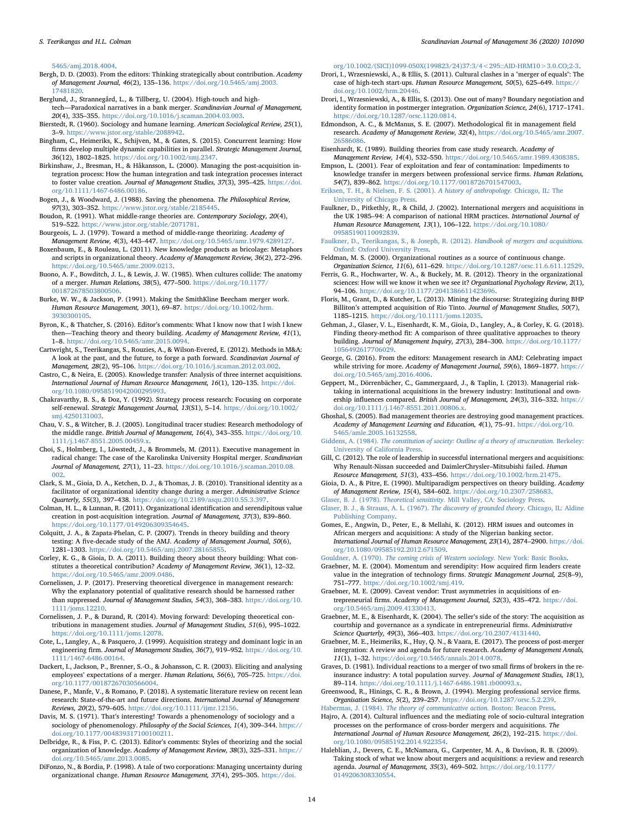[5465/amj.2018.4004.](https://doi.org/10.5465/amj.2018.4004)

- <span id="page-13-8"></span>Bergh, D. D. (2003). From the editors: Thinking strategically about contribution. Academy of Management Journal, 46(2), 135–136. [https://doi.org/10.5465/amj.2003.](https://doi.org/10.5465/amj.2003.17481820) [17481820](https://doi.org/10.5465/amj.2003.17481820).
- <span id="page-13-47"></span>Berglund, J., Strannegård, L., & Tillberg, U. (2004). High-touch and hightech—Paradoxical narratives in a bank merger. Scandinavian Journal of Management, 20(4), 335–355. [https://doi.org/10.1016/j.scaman.2004.03.003.](https://doi.org/10.1016/j.scaman.2004.03.003)
- <span id="page-13-22"></span>Bierstedt, R. (1960). Sociology and humane learning. American Sociological Review, 25(1), 3–9. <https://www.jstor.org/stable/2088942>.
- <span id="page-13-55"></span>Bingham, C., Heimeriks, K., Schijven, M., & Gates, S. (2015). Concurrent learning: How firms develop multiple dynamic capabilities in parallel. Strategic Management Journal, 36(12), 1802–1825. <https://doi.org/10.1002/smj.2347>.
- <span id="page-13-33"></span>Birkinshaw, J., Bresman, H., & Håkansson, L. (2000). Managing the post-acquisition integration process: How the human integration and task integration processes interact to foster value creation. Journal of Management Studies, 37(3), 395–425. [https://doi.](https://doi.org/10.1111/1467-6486.00186) [org/10.1111/1467-6486.00186.](https://doi.org/10.1111/1467-6486.00186)
- <span id="page-13-13"></span>Bogen, J., & Woodward, J. (1988). Saving the phenomena. The Philosophical Review, 97(3), 303–352. <https://www.jstor.org/stable/2185445>.
- <span id="page-13-18"></span>Boudon, R. (1991). What middle-range theories are. Contemporary Sociology, 20(4), 519–522. [https://www.jstor.org/stable/2071781.](https://www.jstor.org/stable/2071781)
- <span id="page-13-23"></span>Bourgeois, L. J. (1979). Toward a method of middle-range theorizing. Academy of Management Review, 4(3), 443–447. [https://doi.org/10.5465/amr.1979.4289127.](https://doi.org/10.5465/amr.1979.4289127) Boxenbaum, E., & Rouleau, L. (2011). New knowledge products as bricolage: Metaphors
- <span id="page-13-28"></span>and scripts in organizational theory. Academy of Management Review, 36(2), 272–296. [https://doi.org/10.5465/amr.2009.0213.](https://doi.org/10.5465/amr.2009.0213)
- <span id="page-13-34"></span>Buono, A. F., Bowditch, J. L., & Lewis, J. W. (1985). When cultures collide: The anatomy of a merger. Human Relations, 38(5), 477–500. [https://doi.org/10.1177/](https://doi.org/10.1177/001872678503800506) [001872678503800506](https://doi.org/10.1177/001872678503800506).
- <span id="page-13-32"></span>Burke, W. W., & Jackson, P. (1991). Making the SmithKline Beecham merger work. Human Resource Management, 30(1), 69–87. [https://doi.org/10.1002/hrm.](https://doi.org/10.1002/hrm.3930300105) [3930300105](https://doi.org/10.1002/hrm.3930300105).
- <span id="page-13-16"></span>Byron, K., & Thatcher, S. (2016). Editor's comments: What I know now that I wish I knew then—Teaching theory and theory building. Academy of Management Review, 41(1), 1–8. <https://doi.org/10.5465/amr.2015.0094>.
- <span id="page-13-9"></span>Cartwright, S., Teerikangas, S., Rouzies, A., & Wilson-Evered, E. (2012). Methods in M&A: A look at the past, and the future, to forge a path forward. Scandinavian Journal of Management, 28(2), 95–106. <https://doi.org/10.1016/j.scaman.2012.03.002>.
- <span id="page-13-50"></span>Castro, C., & Neira, E. (2005). Knowledge transfer: Analysis of three internet acquisitions. International Journal of Human Resource Management, 16(1), 120–135. [https://doi.](https://doi.org/10.1080/0958519042000295993) [org/10.1080/0958519042000295993.](https://doi.org/10.1080/0958519042000295993)
- <span id="page-13-59"></span>Chakravarthy, B. S., & Doz, Y. (1992). Strategy process research: Focusing on corporate self-renewal. Strategic Management Journal, 13(S1), 5–14. [https://doi.org/10.1002/](https://doi.org/10.1002/smj.4250131003) [smj.4250131003](https://doi.org/10.1002/smj.4250131003).
- <span id="page-13-21"></span>Chau, V. S., & Witcher, B. J. (2005). Longitudinal tracer studies: Research methodology of the middle range. British Journal of Management, 16(4), 343–355. [https://doi.org/10.](https://doi.org/10.1111/j.1467-8551.2005.00459.x) [1111/j.1467-8551.2005.00459.x](https://doi.org/10.1111/j.1467-8551.2005.00459.x).
- <span id="page-13-40"></span>Choi, S., Holmberg, I., Löwstedt, J., & Brommels, M. (2011). Executive management in radical change: The case of the Karolinska University Hospital merger. Scandinavian Journal of Management, 27(1), 11–23. [https://doi.org/10.1016/j.scaman.2010.08.](https://doi.org/10.1016/j.scaman.2010.08.002) [002](https://doi.org/10.1016/j.scaman.2010.08.002).
- <span id="page-13-36"></span>Clark, S. M., Gioia, D. A., Ketchen, D. J., & Thomas, J. B. (2010). Transitional identity as a facilitator of organizational identity change during a merger. Administrative Science Quarterly, 55(3), 397–438. [https://doi.org/10.2189/asqu.2010.55.3.397.](https://doi.org/10.2189/asqu.2010.55.3.397)
- <span id="page-13-43"></span>Colman, H. L., & Lunnan, R. (2011). Organizational identification and serendipitous value creation in post-acquisition integration. Journal of Management, 37(3), 839–860. [https://doi.org/10.1177/0149206309354645.](https://doi.org/10.1177/0149206309354645)
- <span id="page-13-4"></span>Colquitt, J. A., & Zapata-Phelan, C. P. (2007). Trends in theory building and theory testing: A five-decade study of the AMJ. Academy of Management Journal, 50(6), 1281–1303. <https://doi.org/10.5465/amj.2007.28165855>.
- <span id="page-13-5"></span>Corley, K. G., & Gioia, D. A. (2011). Building theory about theory building: What constitutes a theoretical contribution? Academy of Management Review, 36(1), 12–32. [https://doi.org/10.5465/amr.2009.0486.](https://doi.org/10.5465/amr.2009.0486)
- <span id="page-13-10"></span>Cornelissen, J. P. (2017). Preserving theoretical divergence in management research: Why the explanatory potential of qualitative research should be harnessed rather than suppressed. Journal of Management Studies, 54(3), 368-383. [https://doi.org/10.](https://doi.org/10.1111/joms.12210) [1111/joms.12210](https://doi.org/10.1111/joms.12210).
- <span id="page-13-6"></span>Cornelissen, J. P., & Durand, R. (2014). Moving forward: Developing theoretical contributions in management studies. Journal of Management Studies, 51(6), 995–1022. <https://doi.org/10.1111/joms.12078>.
- <span id="page-13-42"></span>Cote, L., Langley, A., & Pasquero, J. (1999). Acquisition strategy and dominant logic in an engineering firm. Journal of Management Studies, 36(7), 919–952. [https://doi.org/10.](https://doi.org/10.1111/1467-6486.00164) [1111/1467-6486.00164.](https://doi.org/10.1111/1467-6486.00164)
- <span id="page-13-45"></span>Dackert, I., Jackson, P., Brenner, S.-O., & Johansson, C. R. (2003). Eliciting and analysing employees' expectations of a merger. Human Relations, 56(6), 705-725. https://doi [org/10.1177/00187267030566004](https://doi.org/10.1177/00187267030566004).
- <span id="page-13-30"></span>Danese, P., Manfe, V., & Romano, P. (2018). A systematic literature review on recent lean research: State-of-the-art and future directions. International Journal of Management Reviews, 20(2), 579–605. [https://doi.org/10.1111/ijmr.12156.](https://doi.org/10.1111/ijmr.12156)
- <span id="page-13-7"></span>Davis, M. S. (1971). That's interesting! Towards a phenomenology of sociology and a sociology of phenomenology. Philosophy of the Social Sciences, 1(4), 309–344. [https://](https://doi.org/10.1177/004839317100100211) [doi.org/10.1177/004839317100100211.](https://doi.org/10.1177/004839317100100211)
- <span id="page-13-15"></span>Delbridge, R., & Fiss, P. C. (2013). Editor's comments: Styles of theorizing and the social organization of knowledge. Academy of Management Review, 38(3), 325–331. [https://](https://doi.org/10.5465/amr.2013.0085) [doi.org/10.5465/amr.2013.0085.](https://doi.org/10.5465/amr.2013.0085)
- <span id="page-13-41"></span>DiFonzo, N., & Bordia, P. (1998). A tale of two corporations: Managing uncertainty during organizational change. Human Resource Management, 37(4), 295–305. [https://doi.](https://doi.org/10.1002/(SICI)1099-050X(199823/24)37:3/4<295::AID-HRM10>3.0.CO;2-3)

[org/10.1002/\(SICI\)1099-050X\(199823/24\)37:3/4<295::AID-HRM10>3.0.CO;2-3.](https://doi.org/10.1002/(SICI)1099-050X(199823/24)37:3/4<295::AID-HRM10>3.0.CO;2-3)

- <span id="page-13-44"></span>Drori, I., Wrzesniewski, A., & Ellis, S. (2011). Cultural clashes in a "merger of equals": The case of high-tech start-ups. Human Resource Management, 50(5), 625–649. [https://](https://doi.org/10.1002/hrm.20446) [doi.org/10.1002/hrm.20446.](https://doi.org/10.1002/hrm.20446)
- <span id="page-13-52"></span>Drori, I., Wrzesniewski, A., & Ellis, S. (2013). One out of many? Boundary negotiation and identity formation in postmerger integration. Organization Science, 24(6), 1717–1741. <https://doi.org/10.1287/orsc.1120.0814>.
- <span id="page-13-27"></span>Edmondson, A. C., & McManus, S. E. (2007). Methodological fit in management field research. Academy of Management Review, 32(4), [https://doi.org/10.5465/amr.2007.](https://doi.org/10.5465/amr.2007.26586086) [26586086](https://doi.org/10.5465/amr.2007.26586086).
- <span id="page-13-58"></span>Eisenhardt, K. (1989). Building theories from case study research. Academy of Management Review, 14(4), 532–550. <https://doi.org/10.5465/amr.1989.4308385>.
- <span id="page-13-37"></span>Empson, L. (2001). Fear of exploitation and fear of contamination: Impediments to knowledge transfer in mergers between professional service firms. Human Relations, 54(7), 839–862. [https://doi.org/10.1177/0018726701547003.](https://doi.org/10.1177/0018726701547003)
- <span id="page-13-24"></span>[Eriksen, T. H., & Nielsen, F. S. \(2001\).](http://refhub.elsevier.com/S0956-5221(18)30324-5/sbref0215) A history of anthropology. Chicago, IL: The [University of Chicago Press.](http://refhub.elsevier.com/S0956-5221(18)30324-5/sbref0215)
- <span id="page-13-39"></span>Faulkner, D., Pitkethly, R., & Child, J. (2002). International mergers and acquisitions in the UK 1985–94: A comparison of national HRM practices. International Journal of Human Resource Management, 13(1), 106–122. [https://doi.org/10.1080/](https://doi.org/10.1080/09585190110092839) [09585190110092839.](https://doi.org/10.1080/09585190110092839)
- <span id="page-13-2"></span>[Faulkner, D., Teerikangas, S., & Joseph, R. \(2012\).](http://refhub.elsevier.com/S0956-5221(18)30324-5/sbref0225) Handbook of mergers and acquisitions. [Oxford: Oxford University Press](http://refhub.elsevier.com/S0956-5221(18)30324-5/sbref0225).
- <span id="page-13-11"></span>Feldman, M. S. (2000). Organizational routines as a source of continuous change.
- <span id="page-13-3"></span>Organization Science, 11(6), 611–629. [https://doi.org/10.1287/orsc.11.6.611.12529.](https://doi.org/10.1287/orsc.11.6.611.12529) Ferris, G. R., Hochwarter, W. A., & Buckely, M. R. (2012). Theory in the organizational sciences: How will we know it when we see it? Organizational Psychology Review, 2(1), 94–106. [https://doi.org/10.1177/2041386611423696.](https://doi.org/10.1177/2041386611423696)
- <span id="page-13-53"></span>Floris, M., Grant, D., & Kutcher, L. (2013). Mining the discourse: Strategizing during BHP Billiton's attempted acquisition of Rio Tinto. Journal of Management Studies, 50(7), 1185–1215. <https://doi.org/10.1111/joms.12035>.
- <span id="page-13-29"></span>Gehman, J., Glaser, V. L., Eisenhardt, K. M., Gioia, D., Langley, A., & Corley, K. G. (2018). Finding theory-method fit: A comparison of three qualitative approaches to theory building. Journal of Management Inquiry, 27(3), 284–300. [https://doi.org/10.1177/](https://doi.org/10.1177/1056492617706029) [1056492617706029.](https://doi.org/10.1177/1056492617706029)
- <span id="page-13-17"></span>George, G. (2016). From the editors: Management research in AMJ: Celebrating impact while striving for more. Academy of Management Journal, 59(6), 1869–1877. [https://](https://doi.org/10.5465/amj.2016.4006) [doi.org/10.5465/amj.2016.4006](https://doi.org/10.5465/amj.2016.4006).
- <span id="page-13-51"></span>Geppert, M., Dörrenbächer, C., Gammergaard, J., & Taplin, I. (2013). Managerial risktaking in international acquisitions in the brewery industry: Institutional and ownership influences compared. British Journal of Management, 24(3), 316-332. [https://](https://doi.org/10.1111/j.1467-8551.2011.00806.x) [doi.org/10.1111/j.1467-8551.2011.00806.x.](https://doi.org/10.1111/j.1467-8551.2011.00806.x)
- <span id="page-13-14"></span>Ghoshal, S. (2005). Bad management theories are destroying good management practices. Academy of Management Learning and Education, 4(1), 75–91. [https://doi.org/10.](https://doi.org/10.5465/amle.2005.16132558) [5465/amle.2005.16132558](https://doi.org/10.5465/amle.2005.16132558).
- <span id="page-13-25"></span>Giddens, A. (1984). [The constitution of society: Outline of a theory of structuration.](http://refhub.elsevier.com/S0956-5221(18)30324-5/sbref0265) Berkeley: [University of California Press.](http://refhub.elsevier.com/S0956-5221(18)30324-5/sbref0265)
- <span id="page-13-35"></span>Gill, C. (2012). The role of leadership in successful international mergers and acquisitions: Why Renault-Nissan succeeded and DaimlerChrysler–Mitsubishi failed. Human Resource Management, 51(3), 433–456. [https://doi.org/10.1002/hrm.21475.](https://doi.org/10.1002/hrm.21475)
- <span id="page-13-12"></span>Gioia, D. A., & Pitre, E. (1990). Multiparadigm perspectives on theory building. Academy of Management Review, 15(4), 584–602. <https://doi.org/10.2307/258683>.
- <span id="page-13-57"></span><span id="page-13-19"></span>Glaser, B. J. (1978). Theoretical sensitivity. [Mill Valley, CA: Sociology Press.](http://refhub.elsevier.com/S0956-5221(18)30324-5/sbref0280) [Glaser, B. J., & Strauss, A. L. \(1967\).](http://refhub.elsevier.com/S0956-5221(18)30324-5/sbref0285) The discovery of grounded theory. Chicago, IL: Aldine
- [Publishing Company](http://refhub.elsevier.com/S0956-5221(18)30324-5/sbref0285).
- <span id="page-13-46"></span>Gomes, E., Angwin, D., Peter, E., & Mellahi, K. (2012). HRM issues and outcomes in African mergers and acquisitions: A study of the Nigerian banking sector. International Journal of Human Resource Management, 23(14), 2874–2900. [https://doi.](https://doi.org/10.1080/09585192.2012.671509) [org/10.1080/09585192.2012.671509.](https://doi.org/10.1080/09585192.2012.671509)

<span id="page-13-20"></span>Gouldner, A. (1970). [The coming crisis of Western sociology.](http://refhub.elsevier.com/S0956-5221(18)30324-5/sbref0295) New York: Basic Books.

- <span id="page-13-48"></span>Graebner, M. E. (2004). Momentum and serendipity: How acquired firm leaders create value in the integration of technology firms. Strategic Management Journal, 25(8–9), 751–777. <https://doi.org/10.1002/smj.419>.
- <span id="page-13-56"></span>Graebner, M. E. (2009). Caveat vendor: Trust asymmetries in acquisitions of entrepreneurial firms. Academy of Management Journal, 52(3), 435–472. [https://doi.](https://doi.org/10.5465/amj.2009.41330413) [org/10.5465/amj.2009.41330413.](https://doi.org/10.5465/amj.2009.41330413)
- <span id="page-13-49"></span>Graebner, M. E., & Eisenhardt, K. (2004). The seller's side of the story: The acquisition as courtship and governance as a syndicate in entrepreneurial firms. Administrative Science Quarterly, 49(3), 366–403. [https://doi.org/10.2307/4131440.](https://doi.org/10.2307/4131440)
- <span id="page-13-0"></span>Graebner, M. E., Heimeriks, K., Huy, Q. N., & Vaara, E. (2017). The process of post-merger integration: A review and agenda for future research. Academy of Management Annals, 11(1), 1–32. <https://doi.org/10.5465/annals.2014.0078>.

<span id="page-13-31"></span>Graves, D. (1981). Individual reactions to a merger of two small firms of brokers in the reinsurance industry: A total population survey. Journal of Management Studies, 18(1), 89–114. <https://doi.org/10.1111/j.1467-6486.1981.tb00093.x>.

- <span id="page-13-38"></span>Greenwood, R., Hinings, C. R., & Brown, J. (1994). Merging professional service firms. Organisation Science, 5(2), 239–257. <https://doi.org/10.1287/orsc.5.2.239>.
- <span id="page-13-54"></span><span id="page-13-26"></span>Habermas, J. (1984). [The theory of communicative action.](http://refhub.elsevier.com/S0956-5221(18)30324-5/sbref0330) Boston: Beacon Pres Hajro, A. (2014). Cultural influences and the mediating role of socio-cultural integration processes on the performance of cross-border mergers and acquisitions. The International Journal of Human Resource Management, 26(2), 192–215. [https://doi.](https://doi.org/10.1080/09585192.2014.922354) [org/10.1080/09585192.2014.922354.](https://doi.org/10.1080/09585192.2014.922354)
- <span id="page-13-1"></span>Haleblian, J., Devers, C. E., McNamara, G., Carpenter, M. A., & Davison, R. B. (2009). Taking stock of what we know about mergers and acquisitions: a review and research agenda. Journal of Management, 35(3), 469–502. [https://doi.org/10.1177/](https://doi.org/10.1177/0149206308330554) [0149206308330554.](https://doi.org/10.1177/0149206308330554)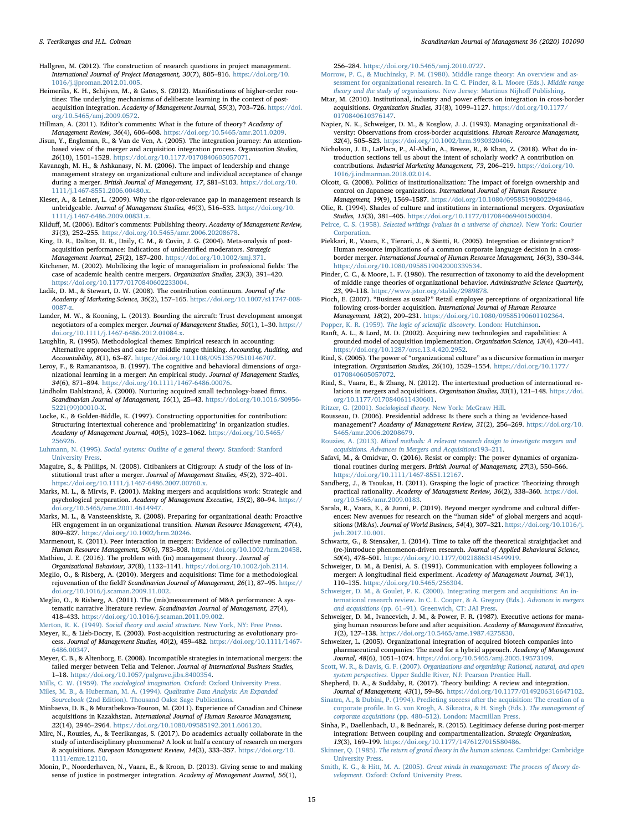<span id="page-14-6"></span>Hallgren, M. (2012). The construction of research questions in project management. International Journal of Project Management, 30(7), 805–816. [https://doi.org/10.](https://doi.org/10.1016/j.ijproman.2012.01.005) [1016/j.ijproman.2012.01.005.](https://doi.org/10.1016/j.ijproman.2012.01.005)

<span id="page-14-39"></span>Heimeriks, K. H., Schijven, M., & Gates, S. (2012). Manifestations of higher-order routines: The underlying mechanisms of deliberate learning in the context of postacquisition integration. Academy of Management Journal, 55(3), 703–726. [https://doi.](https://doi.org/10.5465/amj.2009.0572) [org/10.5465/amj.2009.0572](https://doi.org/10.5465/amj.2009.0572).

<span id="page-14-57"></span>Hillman, A. (2011). Editor's comments: What is the future of theory? Academy of Management Review, 36(4), 606–608. [https://doi.org/10.5465/amr.2011.0209.](https://doi.org/10.5465/amr.2011.0209)

<span id="page-14-41"></span>Jisun, Y., Engleman, R., & Van de Ven, A. (2005). The integration journey: An attentionbased view of the merger and acquisition integration process. Organization Studies, 26(10), 1501–1528. [https://doi.org/10.1177/0170840605057071.](https://doi.org/10.1177/0170840605057071)

<span id="page-14-48"></span>Kavanagh, M. H., & Ashkanasy, N. M. (2006). The impact of leadership and change management strategy on organizational culture and individual acceptance of change during a merger. British Journal of Management, 17, S81-S103. [https://doi.org/10.](https://doi.org/10.1111/j.1467-8551.2006.00480.x) [1111/j.1467-8551.2006.00480.x](https://doi.org/10.1111/j.1467-8551.2006.00480.x).

<span id="page-14-15"></span>Kieser, A., & Leiner, L. (2009). Why the rigor-relevance gap in management research is unbridgeable. Journal of Management Studies, 46(3), 516–533. [https://doi.org/10.](https://doi.org/10.1111/j.1467-6486.2009.00831.x) [1111/j.1467-6486.2009.00831.x](https://doi.org/10.1111/j.1467-6486.2009.00831.x).

<span id="page-14-11"></span>Kilduff, M. (2006). Editor's comments: Publishing theory. Academy of Management Review, 31(3), 252–255. <https://doi.org/10.5465/amr.2006.20208678>.

<span id="page-14-60"></span>King, D. R., Dalton, D. R., Daily, C. M., & Covin, J. G. (2004). Meta-analysis of postacquisition performance: Indications of unidentified moderators. Strategic Management Journal, 25(2), 187–200. <https://doi.org/10.1002/smj.371>.

<span id="page-14-34"></span>Kitchener, M. (2002). Mobilizing the logic of managerialism in professional fields: The case of academic health centre mergers. Organization Studies, 23(3), 391–420. [https://doi.org/10.1177/0170840602233004.](https://doi.org/10.1177/0170840602233004)

<span id="page-14-4"></span>Ladik, D. M., & Stewart, D. W. (2008). The contribution continuum. Journal of the Academy of Marketing Science, 36(2), 157–165. [https://doi.org/10.1007/s11747-008-](https://doi.org/10.1007/s11747-008-0087-z) [0087-z.](https://doi.org/10.1007/s11747-008-0087-z)

<span id="page-14-44"></span>Lander, M. W., & Kooning, L. (2013). Boarding the aircraft: Trust development amongst negotiators of a complex merger. Journal of Management Studies, 50(1), 1–30. [https://](https://doi.org/10.1111/j.1467-6486.2012.01084.x) [doi.org/10.1111/j.1467-6486.2012.01084.x.](https://doi.org/10.1111/j.1467-6486.2012.01084.x)

<span id="page-14-20"></span>Laughlin, R. (1995). Methodological themes: Empirical research in accounting: Alternative approaches and case for middle range thinking. Accounting, Auditing, and Accountability, 8(1), 63–87. [https://doi.org/10.1108/09513579510146707.](https://doi.org/10.1108/09513579510146707)

<span id="page-14-33"></span>Leroy, F., & Ramanantsoa, B. (1997). The cognitive and behavioral dimensions of organizational learning in a merger: An empirical study. Journal of Management Studies, 34(6), 871–894. [https://doi.org/10.1111/1467-6486.00076.](https://doi.org/10.1111/1467-6486.00076)

<span id="page-14-27"></span>Lindholm Dahlstrand, Å. (2000). Nurturing acquired small technology-based firms. Scandinavian Journal of Management, 16(1), 25–43. [https://doi.org/10.1016/S0956-](https://doi.org/10.1016/S0956-5221(99)00010-X) [5221\(99\)00010-X.](https://doi.org/10.1016/S0956-5221(99)00010-X)

<span id="page-14-3"></span>Locke, K., & Golden-Biddle, K. (1997). Constructing opportunities for contribution: Structuring intertextual coherence and 'problematizing' in organization studies. Academy of Management Journal, 40(5), 1023–1062. [https://doi.org/10.5465/](https://doi.org/10.5465/256926) [256926](https://doi.org/10.5465/256926).

<span id="page-14-24"></span>Luhmann, N. (1995). [Social systems: Outline of a general theory.](http://refhub.elsevier.com/S0956-5221(18)30324-5/sbref0420) Stanford: Stanford [University Press](http://refhub.elsevier.com/S0956-5221(18)30324-5/sbref0420).

<span id="page-14-51"></span>Maguire, S., & Phillips, N. (2008). Citibankers at Citigroup: A study of the loss of institutional trust after a merger. Journal of Management Studies, 45(2), 372–401. [https://doi.org/10.1111/j.1467-6486.2007.00760.x.](https://doi.org/10.1111/j.1467-6486.2007.00760.x)

<span id="page-14-31"></span>Marks, M. L., & Mirvis, P. (2001). Making mergers and acquisitions work: Strategic and psychological preparation. Academy of Management Executive, 15(2), 80–94. [https://](https://doi.org/10.5465/ame.2001.4614947) [doi.org/10.5465/ame.2001.4614947](https://doi.org/10.5465/ame.2001.4614947).

<span id="page-14-52"></span>Marks, M. L., & Vansteenskiste, R. (2008). Preparing for organizational death: Proactive HR engagement in an organizational transition. Human Resource Management, 47(4), 809–827. <https://doi.org/10.1002/hrm.20246>.

<span id="page-14-37"></span>Marmenout, K. (2011). Peer interaction in mergers: Evidence of collective rumination. Human Resource Management, 50(6), 783–808. <https://doi.org/10.1002/hrm.20458>.

<span id="page-14-12"></span>Mathieu, J. E. (2016). The problem with (in) management theory. Journal of Organizational Behaviour, 37(8), 1132–1141. [https://doi.org/10.1002/job.2114.](https://doi.org/10.1002/job.2114)

<span id="page-14-8"></span>Meglio, O., & Risberg, A. (2010). Mergers and acquisitions: Time for a methodological rejuvenation of the field? Scandinavian Journal of Management, 26(1), 87–95. [https://](https://doi.org/10.1016/j.scaman.2009.11.002) [doi.org/10.1016/j.scaman.2009.11.002.](https://doi.org/10.1016/j.scaman.2009.11.002)

<span id="page-14-25"></span>Meglio, O., & Risberg, A. (2011). The (mis)measurement of M&A performance: A systematic narrative literature review. Scandinavian Journal of Management, 27(4), 418–433. <https://doi.org/10.1016/j.scaman.2011.09.002>.

<span id="page-14-17"></span>Merton, R. K. (1949). [Social theory and social structure.](http://refhub.elsevier.com/S0956-5221(18)30324-5/sbref0460) New York, NY: Free Press.

<span id="page-14-38"></span>Meyer, K., & Lieb-Doczy, E. (2003). Post-acquisition restructuring as evolutionary process. Journal of Management Studies, 40(2), 459–482. [https://doi.org/10.1111/1467-](https://doi.org/10.1111/1467-6486.00347) [6486.00347.](https://doi.org/10.1111/1467-6486.00347)

<span id="page-14-53"></span>Meyer, C. B., & Altenborg, E. (2008). Incompatible strategies in international mergers: the failed merger between Telia and Telenor. Journal of International Business Studies, 1–18. <https://doi.org/10.1057/palgrave.jibs.8400354>.

<span id="page-14-56"></span><span id="page-14-19"></span>Mills, C. W. (1959). The sociological imagination. [Oxford: Oxford University Press.](http://refhub.elsevier.com/S0956-5221(18)30324-5/sbref0475) [Miles, M. B., & Huberman, M. A. \(1994\).](http://refhub.elsevier.com/S0956-5221(18)30324-5/sbref0480) Qualitative Data Analysis: An Expanded Sourcebook [\(2nd Edition\). Thousand Oaks: Sage Publications.](http://refhub.elsevier.com/S0956-5221(18)30324-5/sbref0480)

<span id="page-14-35"></span>Minbaeva, D. B., & Muratbekova-Touron, M. (2011). Experience of Canadian and Chinese acquisitions in Kazakhstan. International Journal of Human Resource Management, 22(14), 2946–2964. <https://doi.org/10.1080/09585192.2011.606120>.

<span id="page-14-1"></span>Mirc, N., Rouzies, A., & Teerikangas, S. (2017). Do academics actually collaborate in the study of interdisciplinary phenomena? A look at half a century of research on mergers & acquisitions. European Management Review, 14(3), 333–357. [https://doi.org/10.](https://doi.org/10.1111/emre.12110) [1111/emre.12110.](https://doi.org/10.1111/emre.12110)

<span id="page-14-45"></span>Monin, P., Noorderhaven, N., Vaara, E., & Kroon, D. (2013). Giving sense to and making sense of justice in postmerger integration. Academy of Management Journal, 56(1),

256–284. [https://doi.org/10.5465/amj.2010.0727.](https://doi.org/10.5465/amj.2010.0727)

<span id="page-14-18"></span>[Morrow, P. C., & Muchinsky, P. M. \(1980\). Middle range theory: An overview and as](http://refhub.elsevier.com/S0956-5221(18)30324-5/sbref0500)[sessment for organizational research. In C. C. Pinder, & L. Moore \(Eds.\).](http://refhub.elsevier.com/S0956-5221(18)30324-5/sbref0500) Middle range [theory and the study of organizations](http://refhub.elsevier.com/S0956-5221(18)30324-5/sbref0500). New Jersey: Martinus Nijhoff Publishing.

- <span id="page-14-30"></span>Mtar, M. (2010). Institutional, industry and power effects on integration in cross-border acquisitions. Organization Studies, 31(8), 1099–1127. [https://doi.org/10.1177/](https://doi.org/10.1177/0170840610376147) [0170840610376147.](https://doi.org/10.1177/0170840610376147)
- <span id="page-14-29"></span>Napier, N. K., Schweiger, D. M., & Kosglow, J. J. (1993). Managing organizational diversity: Observations from cross-border acquisitions. Human Resource Management, 32(4), 505–523. [https://doi.org/10.1002/hrm.3930320406.](https://doi.org/10.1002/hrm.3930320406)
- <span id="page-14-5"></span>Nicholson, J. D., LaPlaca, P., Al-Abdin, A., Breese, R., & Khan, Z. (2018). What do introduction sections tell us about the intent of scholarly work? A contribution on contributions. Industrial Marketing Management, 73, 206–219. [https://doi.org/10.](https://doi.org/10.1016/j.indmarman.2018.02.014) [1016/j.indmarman.2018.02.014.](https://doi.org/10.1016/j.indmarman.2018.02.014)

<span id="page-14-54"></span>Olcott, G. (2008). Politics of institutionalization: The impact of foreign ownership and control on Japanese organizations. International Journal of Human Resource Management, 19(9), 1569–1587. [https://doi.org/10.1080/09585190802294846.](https://doi.org/10.1080/09585190802294846)

<span id="page-14-32"></span>Olie, R. (1994). Shades of culture and institutions in international mergers. Organisation Studies, 15(3), 381–405. [https://doi.org/10.1177/017084069401500304.](https://doi.org/10.1177/017084069401500304)

<span id="page-14-14"></span>Peirce, C. S. (1958). [Selected writings \(values in a universe of chance\).](http://refhub.elsevier.com/S0956-5221(18)30324-5/sbref0530) New York: Courier [Corporation](http://refhub.elsevier.com/S0956-5221(18)30324-5/sbref0530).

<span id="page-14-42"></span>Piekkari, R., Vaara, E., Tienari, J., & Säntti, R. (2005). Integration or disintegration? Human resource implications of a common corporate language decision in a crossborder merger. International Journal of Human Resource Management, 16(3), 330–344. [https://doi.org/10.1080/0958519042000339534.](https://doi.org/10.1080/0958519042000339534)

<span id="page-14-21"></span>Pinder, C. C., & Moore, L. F. (1980). The resurrection of taxonomy to aid the development of middle range theories of organizational behavior. Administrative Science Quarterly, 23, 99–118. [https://www.jstor.org/stable/2989878.](https://www.jstor.org/stable/2989878)

<span id="page-14-50"></span>Pioch, E. (2007). "Business as usual?" Retail employee perceptions of organizational life following cross-border acquisition. International Journal of Human Resource Management, 18(2), 209–231. <https://doi.org/10.1080/09585190601102364>.

<span id="page-14-61"></span>[Popper, K. R. \(1959\).](http://refhub.elsevier.com/S0956-5221(18)30324-5/sbref0550) The logic of scientific discovery. London: Hutchinson.

<span id="page-14-36"></span>Ranft, A. L., & Lord, M. D. (2002). Acquiring new technologies and capabilities: A grounded model of acquisition implementation. Organization Science, 13(4), 420–441. [https://doi.org/10.1287/orsc.13.4.420.2952.](https://doi.org/10.1287/orsc.13.4.420.2952)

<span id="page-14-43"></span>Riad, S. (2005). The power of "organizational culture" as a discursive formation in merger integration. Organization Studies, 26(10), 1529–1554. [https://doi.org/10.1177/](https://doi.org/10.1177/0170840605057072) [0170840605057072.](https://doi.org/10.1177/0170840605057072)

<span id="page-14-40"></span>Riad, S., Vaara, E., & Zhang, N. (2012). The intertextual production of international relations in mergers and acquisitions. Organization Studies, 33(1), 121–148. [https://doi.](https://doi.org/10.1177/0170840611430601) [org/10.1177/0170840611430601.](https://doi.org/10.1177/0170840611430601)

<span id="page-14-23"></span>Ritzer, G. (2001). Sociological theory. [New York: McGraw Hill](http://refhub.elsevier.com/S0956-5221(18)30324-5/sbref0570).

<span id="page-14-16"></span>Rousseau, D. (2006). Presidential address: Is there such a thing as 'evidence-based management'? Academy of Management Review, 31(2), 256–269. [https://doi.org/10.](https://doi.org/10.5465/amr.2006.20208679) [5465/amr.2006.20208679.](https://doi.org/10.5465/amr.2006.20208679)

<span id="page-14-55"></span>Rouzies, A. (2013). [Mixed methods: A relevant research design to investigate mergers and](http://refhub.elsevier.com/S0956-5221(18)30324-5/sbref0580) [acquisitions. Advances in Mergers and Acquisitions](http://refhub.elsevier.com/S0956-5221(18)30324-5/sbref0580)193–211.

<span id="page-14-49"></span>Safavi, M., & Omidvar, O. (2016). Resist or comply: The power dynamics of organizational routines during mergers. British Journal of Management, 27(3), 550–566. [https://doi.org/10.1111/1467-8551.12167.](https://doi.org/10.1111/1467-8551.12167)

<span id="page-14-13"></span>Sandberg, J., & Tsoukas, H. (2011). Grasping the logic of practice: Theorizing through practical rationality. Academy of Management Review, 36(2), 338–360. [https://doi.](https://doi.org/10.5465/amr.2009.0183) [org/10.5465/amr.2009.0183.](https://doi.org/10.5465/amr.2009.0183)

<span id="page-14-0"></span>Sarala, R., Vaara, E., & Junni, P. (2019). Beyond merger syndrome and cultural differences: New avenues for research on the "human side" of global mergers and acquisitions (M&As). Journal of World Business, 54(4), 307–321. [https://doi.org/10.1016/j.](https://doi.org/10.1016/j.jwb.2017.10.001) [jwb.2017.10.001.](https://doi.org/10.1016/j.jwb.2017.10.001)

<span id="page-14-7"></span>Schwartz, G., & Stensaker, I. (2014). Time to take off the theoretical straightjacket and (re-)introduce phenomenon-driven research. Journal of Applied Behavioural Science, 50(4), 478–501. [https://doi.org/10.1177/0021886314549919.](https://doi.org/10.1177/0021886314549919)

<span id="page-14-26"></span>Schweiger, D. M., & Denisi, A. S. (1991). Communication with employees following a merger: A longitudinal field experiment. Academy of Management Journal, 34(1), 110–135. [https://doi.org/10.5465/256304.](https://doi.org/10.5465/256304)

<span id="page-14-58"></span>[Schweiger, D. M., & Goulet, P. K. \(2000\). Integrating mergers and acquisitions: An in](http://refhub.elsevier.com/S0956-5221(18)30324-5/sbref0610)[ternational research review. In C. L. Cooper, & A. Gregory \(Eds.\).](http://refhub.elsevier.com/S0956-5221(18)30324-5/sbref0610) Advances in mergers and acquisitions (pp. 61–[91\). Greenwich, CT: JAI Press](http://refhub.elsevier.com/S0956-5221(18)30324-5/sbref0610).

<span id="page-14-28"></span>Schweiger, D. M., Ivancevich, J. M., & Power, F. R. (1987). Executive actions for managing human resources before and after acquisition. Academy of Management Executive, 1(2), 127–138. [https://doi.org/10.5465/ame.1987.4275830.](https://doi.org/10.5465/ame.1987.4275830)

<span id="page-14-46"></span>Schweizer, L. (2005). Organizational integration of acquired biotech companies into pharmaceutical companies: The need for a hybrid approach. Academy of Management Journal, 48(6), 1051–1074. [https://doi.org/10.5465/amj.2005.19573109.](https://doi.org/10.5465/amj.2005.19573109)

<span id="page-14-10"></span>Scott, W. R., & Davis, G. F. (2007). [Organizations and organizing: Rational, natural, and open](http://refhub.elsevier.com/S0956-5221(18)30324-5/sbref0625) system perspectives. Upper [Saddle River, NJ: Pearson Prentice Hall](http://refhub.elsevier.com/S0956-5221(18)30324-5/sbref0625).

<span id="page-14-9"></span>Shepherd, D. A., & Suddaby, R. (2017). Theory building: A review and integration. Journal of Management, 43(1), 59–86. [https://doi.org/10.1177/0149206316647102.](https://doi.org/10.1177/0149206316647102)

<span id="page-14-59"></span>[Sinatra, A., & Dubini, P. \(1994\). Predicting success after the acquisition: The creation of a](http://refhub.elsevier.com/S0956-5221(18)30324-5/sbref0635) corporate profi[le. In G. von Krogh, A. Siknatra, & H. Singh \(Eds.\).](http://refhub.elsevier.com/S0956-5221(18)30324-5/sbref0635) The management of corporate acquisitions (pp. 480–[512\). London: Macmillan Press.](http://refhub.elsevier.com/S0956-5221(18)30324-5/sbref0635)

<span id="page-14-47"></span>Sinha, P., Daellenbach, U., & Bednarek, R. (2015). Legitimacy defense during post-merger integration: Between coupling and compartmentalization. Strategic Organization, 13(3), 169–199. [https://doi.org/10.1177/1476127015580486.](https://doi.org/10.1177/1476127015580486)

<span id="page-14-2"></span>Smith, K. G., & Hitt, M. A. (2005). [Great minds in management: The process of theory de](http://refhub.elsevier.com/S0956-5221(18)30324-5/sbref0650)velopment. [Oxford: Oxford University Press.](http://refhub.elsevier.com/S0956-5221(18)30324-5/sbref0650)

<span id="page-14-22"></span>Skinner, Q. (1985). [The return of grand theory in the human sciences.](http://refhub.elsevier.com/S0956-5221(18)30324-5/sbref0645) Cambridge: Cambridge [University Press](http://refhub.elsevier.com/S0956-5221(18)30324-5/sbref0645).